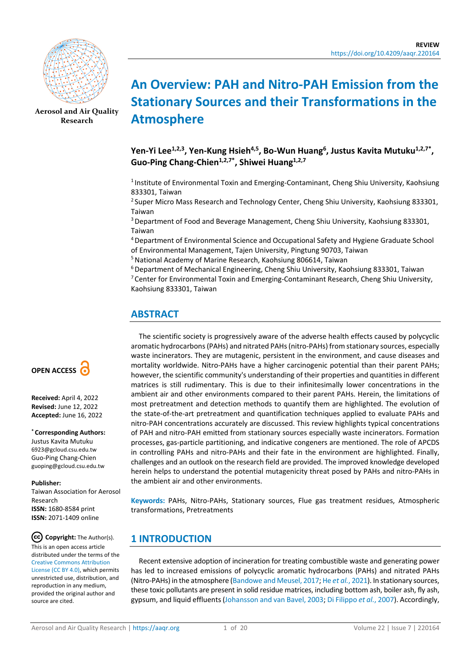

**[Aerosol and Air Quality](https://aaqr.org/)  [Research](https://aaqr.org/)**

# **An Overview: PAH and Nitro-PAH Emission from the Stationary Sources and their Transformations in the Atmosphere**

Yen-Yi Lee<sup>1,2,3</sup>, Yen-Kung Hsieh<sup>4,5</sup>, Bo-Wun Huang<sup>6</sup>, Justus Kavita Mutuku<sup>1,2,7\*</sup>, Guo-Ping Chang-Chien<sup>1,2,7\*</sup>, Shiwei Huang<sup>1,2,7</sup>

<sup>1</sup> Institute of Environmental Toxin and Emerging-Contaminant, Cheng Shiu University, Kaohsiung 833301, Taiwan

<sup>2</sup> Super Micro Mass Research and Technology Center, Cheng Shiu University, Kaohsiung 833301, Taiwan

3 Department of Food and Beverage Management, Cheng Shiu University, Kaohsiung 833301, Taiwan

4 Department of Environmental Science and Occupational Safety and Hygiene Graduate School of Environmental Management, Tajen University, Pingtung 90703, Taiwan

5 National Academy of Marine Research, Kaohsiung 806614, Taiwan

6 Department of Mechanical Engineering, Cheng Shiu University, Kaohsiung 833301, Taiwan 7 Center for Environmental Toxin and Emerging-Contaminant Research, Cheng Shiu University, Kaohsiung 833301, Taiwan

# **ABSTRACT**

The scientific society is progressively aware of the adverse health effects caused by polycyclic aromatic hydrocarbons (PAHs) and nitrated PAHs (nitro-PAHs) from stationary sources, especially waste incinerators. They are mutagenic, persistent in the environment, and cause diseases and mortality worldwide. Nitro-PAHs have a higher carcinogenic potential than their parent PAHs; however, the scientific community's understanding of their properties and quantities in different matrices is still rudimentary. This is due to their infinitesimally lower concentrations in the ambient air and other environments compared to their parent PAHs. Herein, the limitations of most pretreatment and detection methods to quantify them are highlighted. The evolution of the state-of-the-art pretreatment and quantification techniques applied to evaluate PAHs and nitro-PAH concentrations accurately are discussed. This review highlights typical concentrations of PAH and nitro-PAH emitted from stationary sources especially waste incinerators. Formation processes, gas-particle partitioning, and indicative congeners are mentioned. The role of APCDS in controlling PAHs and nitro-PAHs and their fate in the environment are highlighted. Finally, challenges and an outlook on the research field are provided. The improved knowledge developed herein helps to understand the potential mutagenicity threat posed by PAHs and nitro-PAHs in the ambient air and other environments.

**Keywords:** PAHs, Nitro-PAHs, Stationary sources, Flue gas treatment residues, Atmospheric transformations, Pretreatments

# **1 INTRODUCTION**

Recent extensive adoption of incineration for treating combustible waste and generating power has led to increased emissions of polycyclic aromatic hydrocarbons (PAHs) and nitrated PAHs (Nitro-PAHs) in the atmosphere [\(Bandowe and Meusel, 2017;](#page-14-0) He *et al.*, [2021\)](#page-16-0). In stationary sources, these toxic pollutants are present in solid residue matrices, including bottom ash, boiler ash, fly ash, gypsum, and liquid effluents [\(Johansson and van Bavel, 2003;](#page-16-1) [Di Filippo](#page-15-0) *et al.*, 2007). Accordingly,



**Received:** April 4, 2022 **Revised:** June 12, 2022 **Accepted:** June 16, 2022

#### **\* Corresponding Authors:**

Justus Kavita Mutuku 6923@gcloud.csu.edu.tw Guo-Ping Chang-Chien guoping@gcloud.csu.edu.tw

#### **Publisher:**

Taiwan Association for Aerosol Research **ISSN:** 1680-8584 print **ISSN:** 2071-1409 online

 $(cc)$ **Copyright:** The Author(s). This is an open access article distributed under the terms of the [Creative Commons Attribution](https://creativecommons.org/licenses/by/4.0/)  [License \(CC BY 4.0\),](https://creativecommons.org/licenses/by/4.0/) which permits unrestricted use, distribution, and reproduction in any medium, provided the original author and source are cited.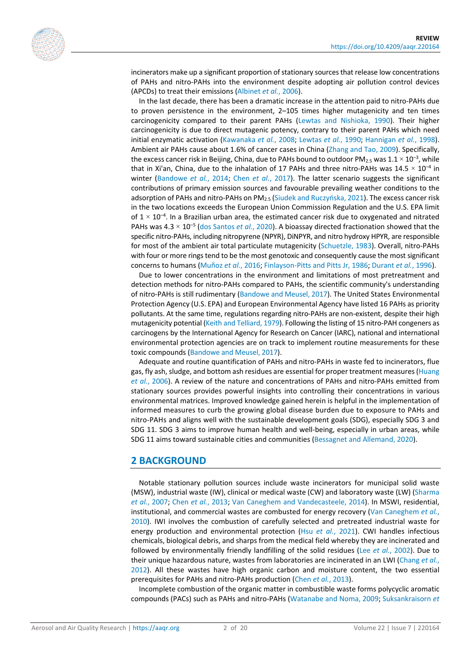incinerators make up a significant proportion of stationary sources that release low concentrations of PAHs and nitro-PAHs into the environment despite adopting air pollution control devices (APCDs) to treat their emissions [\(Albinet](#page-14-1) *et al.*, 2006).

In the last decade, there has been a dramatic increase in the attention paid to nitro-PAHs due to proven persistence in the environment, 2–105 times higher mutagenicity and ten times carcinogenicity compared to their parent PAHs [\(Lewtas and Nishioka, 1990\)](#page-17-0). Their higher carcinogenicity is due to direct mutagenic potency, contrary to their parent PAHs which need initial enzymatic activation [\(Kawanaka](#page-16-2) *et al.*, 2008; [Lewtas](#page-17-1) *et al.*, 1990; [Hannigan](#page-16-3) *et al.*, 1998). Ambient air PAHs cause about 1.6% of cancer cases in China [\(Zhang and Tao, 2009\)](#page-19-0). Specifically, the excess cancer risk in Beijing, China, due to PAHs bound to outdoor PM<sub>2.5</sub> was  $1.1 \times 10^{-3}$ , while that in Xi'an, China, due to the inhalation of 17 PAHs and three nitro-PAHs was  $14.5 \times 10^{-4}$  in winter [\(Bandowe](#page-14-2) *et al.*, 2014; Chen *et al.*[, 2017\)](#page-15-1). The latter scenario suggests the significant contributions of primary emission sources and favourable prevailing weather conditions to the adsorption of PAHs and nitro-PAHs on PM2.5 ([Siudek and Ruczyńska, 2021](#page-18-0)). The excess cancer risk in the two locations exceeds the European Union Commission Regulation and the U.S. EPA limit of  $1 \times 10^{-4}$ . In a Brazilian urban area, the estimated cancer risk due to oxygenated and nitrated PAHs was 4.3 × 10–5 [\(dos Santos](#page-15-2) *et al.*, 2020). A bioassay directed fractionation showed that the specific nitro-PAHs, including nitropyrene (NPYR), DiNPYR, and nitro hydroxy HPYR, are responsible for most of the ambient air total particulate mutagenicity [\(Schuetzle, 1983\)](#page-18-1). Overall, nitro-PAHs with four or more rings tend to be the most genotoxic and consequently cause the most significant concerns to humans [\(Muñoz](#page-17-2) *et al.*, 2016; [Finlayson-Pitts and Pitts Jr, 1986;](#page-16-4) [Durant](#page-16-5) *et al.*, 1996).

Due to lower concentrations in the environment and limitations of most pretreatment and detection methods for nitro-PAHs compared to PAHs, the scientific community's understanding of nitro-PAHs is still rudimentary [\(Bandowe and Meusel, 2017\)](#page-14-0). The United States Environmental Protection Agency (U.S. EPA) and European Environmental Agency have listed 16 PAHs as priority pollutants. At the same time, regulations regarding nitro-PAHs are non-existent, despite their high mutagenicity potential [\(Keith and Telliard, 1979\)](#page-16-6). Following the listing of 15 nitro-PAH congeners as carcinogens by the International Agency for Research on Cancer (IARC), national and international environmental protection agencies are on track to implement routine measurements for these toxic compounds [\(Bandowe and Meusel, 2017\)](#page-14-0).

Adequate and routine quantification of PAHs and nitro-PAHs in waste fed to incinerators, flue gas, fly ash, sludge, and bottom ash residues are essential for proper treatment measures [\(Huang](#page-16-7)  *et al.*[, 2006\)](#page-16-7). A review of the nature and concentrations of PAHs and nitro-PAHs emitted from stationary sources provides powerful insights into controlling their concentrations in various environmental matrices. Improved knowledge gained herein is helpful in the implementation of informed measures to curb the growing global disease burden due to exposure to PAHs and nitro-PAHs and aligns well with the sustainable development goals (SDG), especially SDG 3 and SDG 11. SDG 3 aims to improve human health and well-being, especially in urban areas, while SDG 11 aims toward sustainable cities and communities [\(Bessagnet and Allemand, 2020\)](#page-14-3).

#### **2 BACKGROUND**

Notable stationary pollution sources include waste incinerators for municipal solid waste (MSW), industrial waste (IW), clinical or medical waste (CW) and laboratory waste (LW) [\(Sharma](#page-18-2)  *et al.*[, 2007;](#page-18-2) Chen *et al.*[, 2013;](#page-15-3) [Van Caneghem and Vandecasteele, 2014\)](#page-18-3). In MSWI, residential, institutional, and commercial wastes are combusted for energy recovery [\(Van Caneghem](#page-18-4) *et al.*, [2010\)](#page-18-4). IWI involves the combustion of carefully selected and pretreated industrial waste for energy production and environmental protection (Hsu *et al.*[, 2021\)](#page-16-8). CWI handles infectious chemicals, biological debris, and sharps from the medical field whereby they are incinerated and followed by environmentally friendly landfilling of the solid residues (Lee *et al.*[, 2002\)](#page-17-3). Due to their unique hazardous nature, wastes from laboratories are incinerated in an LWI [\(Chang](#page-15-4) *et al.*, [2012\)](#page-15-4). All these wastes have high organic carbon and moisture content, the two essential prerequisites for PAHs and nitro-PAHs production (Chen *et al.*[, 2013\)](#page-15-3).

Incomplete combustion of the organic matter in combustible waste forms polycyclic aromatic compounds (PACs) such as PAHs and nitro-PAHs [\(Watanabe and Noma, 2009;](#page-19-1) [Suksankraisorn](#page-18-5) *et*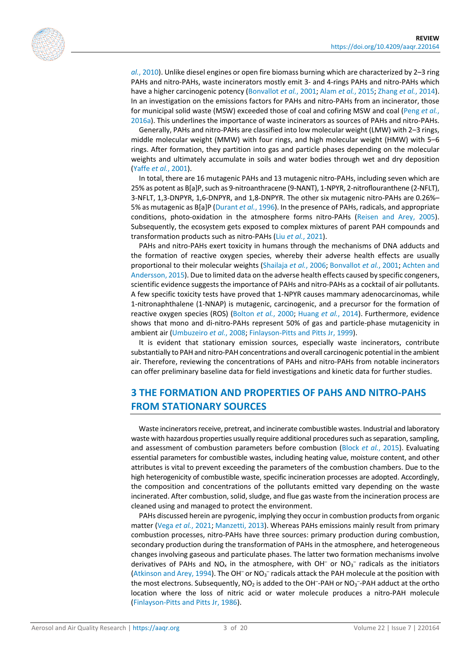

*al.*[, 2010\)](#page-18-5). Unlike diesel engines or open fire biomass burning which are characterized by 2–3 ring PAHs and nitro-PAHs, waste incinerators mostly emit 3- and 4-rings PAHs and nitro-PAHs which have a higher carcinogenic potency [\(Bonvallot](#page-15-5) *et al.*, 2001; Alam *et al.*[, 2015;](#page-14-4) [Zhang](#page-19-2) *et al.*, 2014). In an investigation on the emissions factors for PAHs and nitro-PAHs from an incinerator, those for municipal solid waste (MSW) exceeded those of coal and cofiring MSW and coal [\(Peng](#page-17-4) *et al.*, [2016a\)](#page-17-4). This underlines the importance of waste incinerators as sources of PAHs and nitro-PAHs.

Generally, PAHs and nitro-PAHs are classified into low molecular weight (LMW) with 2–3 rings, middle molecular weight (MMW) with four rings, and high molecular weight (HMW) with 5–6 rings. After formation, they partition into gas and particle phases depending on the molecular weights and ultimately accumulate in soils and water bodies through wet and dry deposition (Yaffe *et al.*[, 2001\)](#page-19-3).

In total, there are 16 mutagenic PAHs and 13 mutagenic nitro-PAHs, including seven which are 25% as potent as B[a]P, such as 9-nitroanthracene (9-NANT), 1-NPYR, 2-nitroflouranthene (2-NFLT), 3-NFLT, 1,3-DNPYR, 1,6-DNPYR, and 1,8-DNPYR. The other six mutagenic nitro-PAHs are 0.26%– 5% as mutagenic as B[a]P [\(Durant](#page-16-5) *et al.*, 1996). In the presence of PAHs, radicals, and appropriate conditions, photo-oxidation in the atmosphere forms nitro-PAHs [\(Reisen and Arey, 2005\)](#page-17-5). Subsequently, the ecosystem gets exposed to complex mixtures of parent PAH compounds and transformation products such as nitro-PAHs (Liu *et al.*[, 2021\)](#page-17-6).

PAHs and nitro-PAHs exert toxicity in humans through the mechanisms of DNA adducts and the formation of reactive oxygen species, whereby their adverse health effects are usually proportional to their molecular weights [\(Shailaja](#page-18-6) *et al.*, 2006; [Bonvallot](#page-15-5) *et al.*, 2001; [Achten and](#page-14-5)  [Andersson, 2015\)](#page-14-5). Due to limited data on the adverse health effects caused by specific congeners, scientific evidence suggests the importance of PAHs and nitro-PAHs as a cocktail of air pollutants. A few specific toxicity tests have proved that 1-NPYR causes mammary adenocarcinomas, while 1-nitronaphthalene (1-NNAP) is mutagenic, carcinogenic, and a precursor for the formation of reactive oxygen species (ROS) [\(Bolton](#page-15-6) *et al.*, 2000; [Huang](#page-16-9) *et al.*, 2014). Furthermore, evidence shows that mono and di-nitro-PAHs represent 50% of gas and particle-phase mutagenicity in ambient air [\(Umbuzeiro](#page-18-7) *et al.*, 2008; [Finlayson-Pitts and Pitts Jr, 1999\)](#page-16-10).

It is evident that stationary emission sources, especially waste incinerators, contribute substantially to PAH and nitro-PAH concentrations and overall carcinogenic potential in the ambient air. Therefore, reviewing the concentrations of PAHs and nitro-PAHs from notable incinerators can offer preliminary baseline data for field investigations and kinetic data for further studies.

### **3 THE FORMATION AND PROPERTIES OF PAHS AND NITRO-PAHS FROM STATIONARY SOURCES**

Waste incinerators receive, pretreat, and incinerate combustible wastes. Industrial and laboratory waste with hazardous properties usually require additional procedures such as separation, sampling, and assessment of combustion parameters before combustion (Block *et al.*[, 2015\)](#page-15-7). Evaluating essential parameters for combustible wastes, including heating value, moisture content, and other attributes is vital to prevent exceeding the parameters of the combustion chambers. Due to the high heterogenicity of combustible waste, specific incineration processes are adopted. Accordingly, the composition and concentrations of the pollutants emitted vary depending on the waste incinerated. After combustion, solid, sludge, and flue gas waste from the incineration process are cleaned using and managed to protect the environment.

PAHs discussed herein are pyrogenic, implying they occur in combustion products from organic matter (Vega *et al.*[, 2021;](#page-19-4) [Manzetti, 2013\)](#page-17-7). Whereas PAHs emissions mainly result from primary combustion processes, nitro-PAHs have three sources: primary production during combustion, secondary production during the transformation of PAHs in the atmosphere, and heterogeneous changes involving gaseous and particulate phases. The latter two formation mechanisms involve derivatives of PAHs and NO<sub>x</sub> in the atmosphere, with OH<sup>-</sup> or NO<sub>3</sub><sup>-</sup> radicals as the initiators [\(Atkinson and Arey, 1994\)](#page-14-6). The OH<sup>-</sup> or NO<sub>3</sub><sup>-</sup> radicals attack the PAH molecule at the position with the most electrons. Subsequently,  $NO<sub>2</sub>$  is added to the OH<sup>-</sup>-PAH or  $NO<sub>3</sub>$ -PAH adduct at the ortho location where the loss of nitric acid or water molecule produces a nitro-PAH molecule [\(Finlayson-Pitts and Pitts Jr, 1986\)](#page-16-4).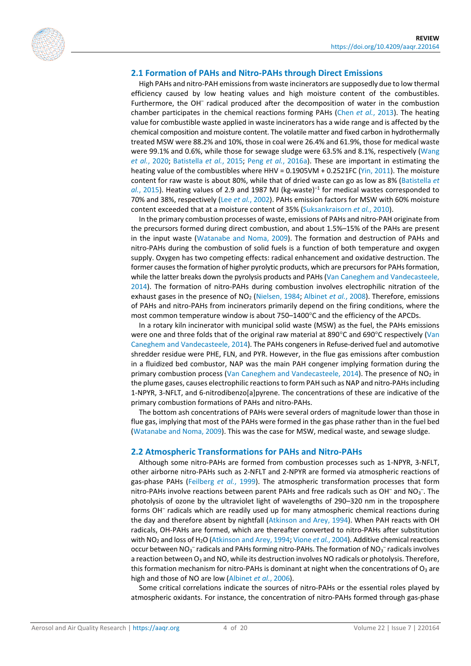

#### **2.1 Formation of PAHs and Nitro-PAHs through Direct Emissions**

High PAHs and nitro-PAH emissions from waste incinerators are supposedly due to low thermal efficiency caused by low heating values and high moisture content of the combustibles. Furthermore, the OH<sup>-</sup> radical produced after the decomposition of water in the combustion chamber participates in the chemical reactions forming PAHs (Chen *et al.*[, 2013\)](#page-15-3). The heating value for combustible waste applied in waste incinerators has a wide range and is affected by the chemical composition and moisture content. The volatile matter and fixed carbon in hydrothermally treated MSW were 88.2% and 10%, those in coal were 26.4% and 61.9%, those for medical waste were 99.1% and 0.6%, while those for sewage sludge were 63.5% and 8.1%, respectively [\(Wang](#page-19-5)  *et al.*[, 2020;](#page-19-5) [Batistella](#page-14-7) *et al.*, 2015; Peng *et al.*[, 2016a\)](#page-17-4). These are important in estimating the heating value of the combustibles where HHV = 0.1905VM + 0.2521FC [\(Yin, 2011\)](#page-19-6). The moisture content for raw waste is about 80%, while that of dried waste can go as low as 8% [\(Batistella](#page-14-7) *et*  al.[, 2015\)](#page-14-7). Heating values of 2.9 and 1987 MJ (kg-waste)<sup>-1</sup> for medical wastes corresponded to 70% and 38%, respectively (Lee *et al.*[, 2002\)](#page-17-3). PAHs emission factors for MSW with 60% moisture content exceeded that at a moisture content of 35% [\(Suksankraisorn](#page-18-5) *et al.*, 2010).

In the primary combustion processes of waste, emissions of PAHs and nitro-PAH originate from the precursors formed during direct combustion, and about 1.5%–15% of the PAHs are present in the input waste [\(Watanabe and Noma, 2009\)](#page-19-1). The formation and destruction of PAHs and nitro-PAHs during the combustion of solid fuels is a function of both temperature and oxygen supply. Oxygen has two competing effects: radical enhancement and oxidative destruction. The former causes the formation of higher pyrolytic products, which are precursors for PAHs formation, while the latter breaks down the pyrolysis products and PAHs (Van Caneghem and Vandecasteele, [2014\)](#page-18-3). The formation of nitro-PAHs during combustion involves electrophilic nitration of the exhaust gases in the presence of NO2 [\(Nielsen, 1984;](#page-17-8) [Albinet](#page-14-8) *et al.*, 2008). Therefore, emissions of PAHs and nitro-PAHs from incinerators primarily depend on the firing conditions, where the most common temperature window is about 750–1400°C and the efficiency of the APCDs.

In a rotary kiln incinerator with municipal solid waste (MSW) as the fuel, the PAHs emissions were one and three folds that of the original raw material at 890°C and 690°C respectively [\(Van](#page-18-3)  [Caneghem and Vandecasteele, 2014\)](#page-18-3). The PAHs congeners in Refuse-derived fuel and automotive shredder residue were PHE, FLN, and PYR. However, in the flue gas emissions after combustion in a fluidized bed combustor, NAP was the main PAH congener implying formation during the primary combustion process [\(Van Caneghem and Vandecasteele, 2014\)](#page-18-3). The presence of  $NO<sub>2</sub>$  in the plume gases, causes electrophilic reactions to form PAH such as NAP and nitro-PAHs including 1-NPYR, 3-NFLT, and 6-nitrodibenzo[a]pyrene. The concentrations of these are indicative of the primary combustion formations of PAHs and nitro-PAHs.

The bottom ash concentrations of PAHs were several orders of magnitude lower than those in flue gas, implying that most of the PAHs were formed in the gas phase rather than in the fuel bed [\(Watanabe and Noma, 2009\)](#page-19-1). This was the case for MSW, medical waste, and sewage sludge.

#### **2.2 Atmospheric Transformations for PAHs and Nitro-PAHs**

Although some nitro-PAHs are formed from combustion processes such as 1-NPYR, 3-NFLT, other airborne nitro-PAHs such as 2-NFLT and 2-NPYR are formed via atmospheric reactions of gas-phase PAHs [\(Feilberg](#page-16-11) *et al.*, 1999). The atmospheric transformation processes that form nitro-PAHs involve reactions between parent PAHs and free radicals such as OH<sup>-</sup> and NO<sub>3</sub><sup>-</sup>. The photolysis of ozone by the ultraviolet light of wavelengths of 290–320 nm in the troposphere forms OH– radicals which are readily used up for many atmospheric chemical reactions during the day and therefore absent by nightfall [\(Atkinson and Arey, 1994\)](#page-14-6). When PAH reacts with OH radicals, OH-PAHs are formed, which are thereafter converted to nitro-PAHs after substitution with NO2 and loss of H2O [\(Atkinson and Arey, 1994;](#page-14-6) [Vione](#page-19-7) *et al.*, 2004). Additive chemical reactions occur between  $NO_3^-$  radicals and PAHs forming nitro-PAHs. The formation of  $NO_3^-$  radicals involves a reaction between  $O_3$  and NO, while its destruction involves NO radicals or photolysis. Therefore, this formation mechanism for nitro-PAHs is dominant at night when the concentrations of  $O<sub>3</sub>$  are high and those of NO are low [\(Albinet](#page-14-1) *et al.*, 2006).

Some critical correlations indicate the sources of nitro-PAHs or the essential roles played by atmospheric oxidants. For instance, the concentration of nitro-PAHs formed through gas-phase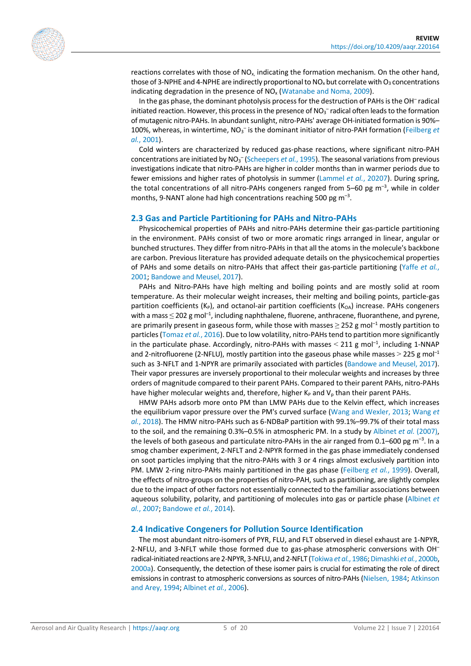reactions correlates with those of  $NO<sub>x</sub>$  indicating the formation mechanism. On the other hand, those of 3-NPHE and 4-NPHE are indirectly proportional to  $NO_x$  but correlate with  $O_3$  concentrations indicating degradation in the presence of  $NO<sub>x</sub>$  [\(Watanabe and Noma, 2009\)](#page-19-1).

In the gas phase, the dominant photolysis process for the destruction of PAHs is the OH– radical initiated reaction. However, this process in the presence of  $NO<sub>3</sub><sup>-</sup>$  radical often leads to the formation of mutagenic nitro-PAHs. In abundant sunlight, nitro-PAHs' average OH-initiated formation is 90%– 100%, whereas, in wintertime, NO<sub>3</sub><sup>-</sup> is the dominant initiator of nitro-PAH formation [\(Feilberg](#page-16-12) *et al.*[, 2001\)](#page-16-12).

Cold winters are characterized by reduced gas-phase reactions, where significant nitro-PAH concentrations are initiated by NO<sub>3</sub><sup>-</sup> [\(Scheepers](#page-18-8) *et al.*, 1995). The seasonal variations from previous investigations indicate that nitro-PAHs are higher in colder months than in warmer periods due to fewer emissions and higher rates of photolysis in summer [\(Lammel](#page-17-9) *et al.*, 20207). During spring, the total concentrations of all nitro-PAHs congeners ranged from  $5-60$  pg m<sup>-3</sup>, while in colder months, 9-NANT alone had high concentrations reaching 500 pg  $m^{-3}$ .

#### **2.3 Gas and Particle Partitioning for PAHs and Nitro-PAHs**

Physicochemical properties of PAHs and nitro-PAHs determine their gas-particle partitioning in the environment. PAHs consist of two or more aromatic rings arranged in linear, angular or bunched structures. They differ from nitro-PAHs in that all the atoms in the molecule's backbone are carbon. Previous literature has provided adequate details on the physicochemical properties of PAHs and some details on nitro-PAHs that affect their gas-particle partitioning [\(Yaffe](#page-19-3) *et al.*, [2001;](#page-19-3) [Bandowe and Meusel, 2017\)](#page-14-0).

PAHs and Nitro-PAHs have high melting and boiling points and are mostly solid at room temperature. As their molecular weight increases, their melting and boiling points, particle-gas partition coefficients (K<sub>P</sub>), and octanol-air partition coefficients (K<sub>OA</sub>) increase. PAHs congeners with a mass  $\leq$  202 g mol<sup>-1</sup>, including naphthalene, fluorene, anthracene, fluoranthene, and pyrene, are primarily present in gaseous form, while those with masses  $\geq$  252 g mol<sup>-1</sup> mostly partition to particles [\(Tomaz](#page-18-9) *et al.*, 2016). Due to low volatility, nitro-PAHs tend to partition more significantly in the particulate phase. Accordingly, nitro-PAHs with masses  $\leq$  211 g mol<sup>-1</sup>, including 1-NNAP and 2-nitrofluorene (2-NFLU), mostly partition into the gaseous phase while masses  $>$  225 g mol<sup>-1</sup> such as 3-NFLT and 1-NPYR are primarily associated with particles [\(Bandowe and Meusel, 2017\)](#page-14-0). Their vapor pressures are inversely proportional to their molecular weights and increases by three orders of magnitude compared to their parent PAHs. Compared to their parent PAHs, nitro-PAHs have higher molecular weights and, therefore, higher  $K_P$  and  $V_p$  than their parent PAHs.

HMW PAHs adsorb more onto PM than LMW PAHs due to the Kelvin effect, which increases the equilibrium vapor pressure over the PM's curved surface [\(Wang and Wexler, 2013;](#page-19-8) [Wang](#page-19-9) *et al.*[, 2018\)](#page-19-9). The HMW nitro-PAHs such as 6-NDBaP partition with 99.1%–99.7% of their total mass to the soil, and the remaining 0.3%–0.5% in atmospheric PM. In a study by [Albinet](#page-14-9) *et al.* (2007), the levels of both gaseous and particulate nitro-PAHs in the air ranged from 0.1–600 pg m<sup>-3</sup>. In a smog chamber experiment, 2-NFLT and 2-NPYR formed in the gas phase immediately condensed on soot particles implying that the nitro-PAHs with 3 or 4 rings almost exclusively partition into PM. LMW 2-ring nitro-PAHs mainly partitioned in the gas phase [\(Feilberg](#page-16-11) *et al.*, 1999). Overall, the effects of nitro-groups on the properties of nitro-PAH, such as partitioning, are slightly complex due to the impact of other factors not essentially connected to the familiar associations between aqueous solubility, polarity, and partitioning of molecules into gas or particle phase [\(Albinet](#page-14-9) *et al.*[, 2007;](#page-14-9) [Bandowe](#page-14-2) *et al.*, 2014).

#### **2.4 Indicative Congeners for Pollution Source Identification**

The most abundant nitro-isomers of PYR, FLU, and FLT observed in diesel exhaust are 1-NPYR, 2-NFLU, and 3-NFLT while those formed due to gas-phase atmospheric conversions with OH– radical-initiated reactions are 2-NPYR, 3-NFLU, and 2-NFLT [\(Tokiwa](#page-18-10) *et al.*, 1986[; Dimashki](#page-15-8) *et al.*, 2000b, [2000a\)](#page-15-9). Consequently, the detection of these isomer pairs is crucial for estimating the role of direct emissions in contrast to atmospheric conversions as sources of nitro-PAHs [\(Nielsen, 1984;](#page-17-8) [Atkinson](#page-14-6)  [and Arey, 1994;](#page-14-6) [Albinet](#page-14-1) *et al.*, 2006).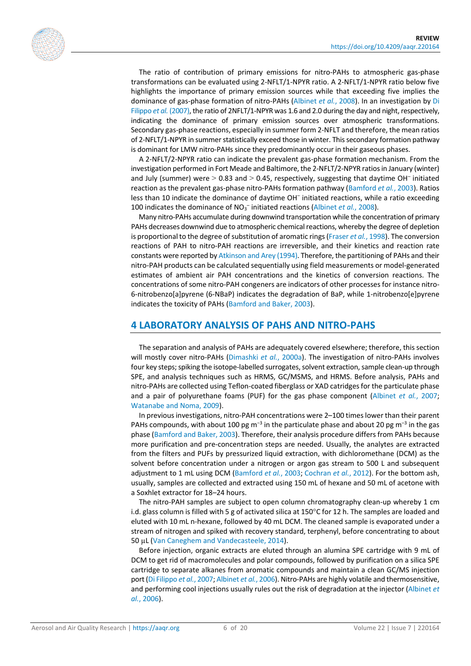

The ratio of contribution of primary emissions for nitro-PAHs to atmospheric gas-phase transformations can be evaluated using 2-NFLT/1-NPYR ratio. A 2-NFLT/1-NPYR ratio below five highlights the importance of primary emission sources while that exceeding five implies the dominance of gas-phase formation of nitro-PAHs [\(Albinet](#page-14-8) *et al.*, 2008). In an investigation by [Di](#page-15-0) [Filippo](#page-15-0) *et al.* (2007), the ratio of 2NFLT/1-NPYR was 1.6 and 2.0 during the day and night, respectively, indicating the dominance of primary emission sources over atmospheric transformations. Secondary gas-phase reactions, especially in summer form 2-NFLT and therefore, the mean ratios of 2-NFLT/1-NPYR in summer statistically exceed those in winter. This secondary formation pathway is dominant for LMW nitro-PAHs since they predominantly occur in their gaseous phases.

A 2-NFLT/2-NPYR ratio can indicate the prevalent gas-phase formation mechanism. From the investigation performed in Fort Meade and Baltimore, the 2-NFLT/2-NPYR ratios in January (winter) and July (summer) were  $> 0.83$  and  $> 0.45$ , respectively, suggesting that daytime OH<sup>-</sup> initiated reaction as the prevalent gas-phase nitro-PAHs formation pathway [\(Bamford](#page-14-10) *et al.*, 2003). Ratios less than 10 indicate the dominance of daytime OH<sup>-</sup> initiated reactions, while a ratio exceeding 100 indicates the dominance of NO<sub>3</sub><sup>-</sup> initiated reactions [\(Albinet](#page-14-8) *et al.*, 2008).

Many nitro-PAHs accumulate during downwind transportation while the concentration of primary PAHs decreases downwind due to atmospheric chemical reactions, whereby the degree of depletion is proportional to the degree of substitution of aromatic rings [\(Fraser](#page-16-13) *et al.*, 1998). The conversion reactions of PAH to nitro-PAH reactions are irreversible, and their kinetics and reaction rate constants were reported b[y Atkinson and Arey \(1994\).](#page-14-6) Therefore, the partitioning of PAHs and their nitro-PAH products can be calculated sequentially using field measurements or model-generated estimates of ambient air PAH concentrations and the kinetics of conversion reactions. The concentrations of some nitro-PAH congeners are indicators of other processes for instance nitro-6-nitrobenzo[a]pyrene (6-NBaP) indicates the degradation of BaP, while 1-nitrobenzo[e]pyrene indicates the toxicity of PAHs [\(Bamford and Baker, 2003\)](#page-14-11).

#### **4 LABORATORY ANALYSIS OF PAHS AND NITRO-PAHS**

The separation and analysis of PAHs are adequately covered elsewhere; therefore, this section will mostly cover nitro-PAHs [\(Dimashki](#page-15-9) *et al.*, 2000a). The investigation of nitro-PAHs involves four key steps; spiking the isotope-labelled surrogates, solvent extraction, sample clean-up through SPE, and analysis techniques such as HRMS, GC/MSMS, and HRMS. Before analysis, PAHs and nitro-PAHs are collected using Teflon-coated fiberglass or XAD catridges for the particulate phase and a pair of polyurethane foams (PUF) for the gas phase component [\(Albinet](#page-14-9) *et al.*, 2007; [Watanabe and Noma, 2009\)](#page-19-1).

In previous investigations, nitro-PAH concentrations were 2–100 times lower than their parent PAHs compounds, with about 100 pg m<sup>-3</sup> in the particulate phase and about 20 pg m<sup>-3</sup> in the gas phase [\(Bamford and Baker, 2003\)](#page-14-11). Therefore, their analysis procedure differs from PAHs because more purification and pre-concentration steps are needed. Usually, the analytes are extracted from the filters and PUFs by pressurized liquid extraction, with dichloromethane (DCM) as the solvent before concentration under a nitrogen or argon gas stream to 500 L and subsequent adjustment to 1 mL using DCM [\(Bamford](#page-14-10) *et al.*, 2003; [Cochran](#page-15-10) *et al.*, 2012). For the bottom ash, usually, samples are collected and extracted using 150 mL of hexane and 50 mL of acetone with a Soxhlet extractor for 18–24 hours.

The nitro-PAH samples are subject to open column chromatography clean-up whereby 1 cm i.d. glass column is filled with 5 g of activated silica at 150°C for 12 h. The samples are loaded and eluted with 10 mL n-hexane, followed by 40 mL DCM. The cleaned sample is evaporated under a stream of nitrogen and spiked with recovery standard, terphenyl, before concentrating to about 50 µL [\(Van Caneghem and Vandecasteele, 2014\)](#page-18-3).

Before injection, organic extracts are eluted through an alumina SPE cartridge with 9 mL of DCM to get rid of macromolecules and polar compounds, followed by purification on a silica SPE cartridge to separate alkanes from aromatic compounds and maintain a clean GC/MS injection port [\(Di Filippo](#page-15-0) *et al.*, 2007[; Albinet](#page-14-1) *et al.*, 2006). Nitro-PAHs are highly volatile and thermosensitive, and performing cool injections usually rules out the risk of degradation at the injector [\(Albinet](#page-14-1) *et al.*[, 2006\)](#page-14-1).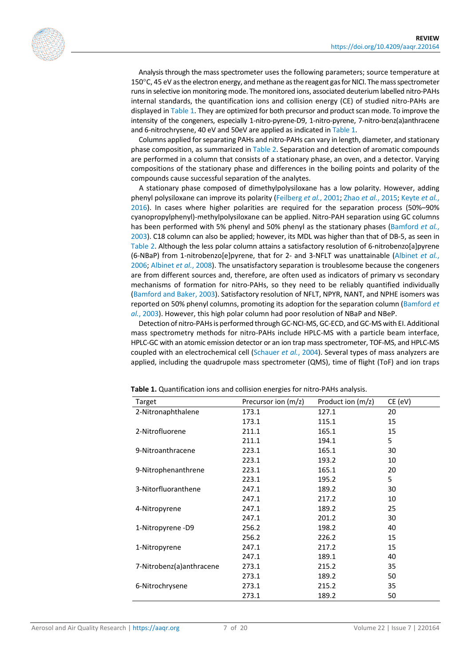Analysis through the mass spectrometer uses the following parameters; source temperature at 150°C, 45 eV as the electron energy, and methane as the reagent gas for NICI. The mass spectrometer runs in selective ion monitoring mode. The monitored ions, associated deuterium labelled nitro-PAHs internal standards, the quantification ions and collision energy (CE) of studied nitro-PAHs are displayed i[n Table 1.](#page-6-0) They are optimized for both precursor and product scan mode. To improve the intensity of the congeners, especially 1-nitro-pyrene-D9, 1-nitro-pyrene, 7-nitro-benz(a)anthracene and 6-nitrochrysene, 40 eV and 50eV are applied as indicated in [Table 1.](#page-6-0)

Columns applied for separating PAHs and nitro-PAHs can vary in length, diameter, and stationary phase composition, as summarized in [Table 2.](#page-7-0) Separation and detection of aromatic compounds are performed in a column that consists of a stationary phase, an oven, and a detector. Varying compositions of the stationary phase and differences in the boiling points and polarity of the compounds cause successful separation of the analytes.

A stationary phase composed of dimethylpolysiloxane has a low polarity. However, adding phenyl polysiloxane can improve its polarity [\(Feilberg](#page-16-12) *et al.*, 2001; Zhao *et al.*[, 2015;](#page-19-10) [Keyte](#page-16-14) *et al.*, [2016\)](#page-16-14). In cases where higher polarities are required for the separation process (50%–90% cyanopropylphenyl)-methylpolysiloxane can be applied. Nitro-PAH separation using GC columns has been performed with 5% phenyl and 50% phenyl as the stationary phases [\(Bamford](#page-14-10) *et al.*, [2003\)](#page-14-10). C18 column can also be applied; however, its MDL was higher than that of DB-5, as seen in [Table 2.](#page-7-0) Although the less polar column attains a satisfactory resolution of 6-nitrobenzo[a]pyrene (6-NBaP) from 1-nitrobenzo[e]pyrene, that for 2- and 3-NFLT was unattainable [\(Albinet](#page-14-1) *et al.*, [2006;](#page-14-1) [Albinet](#page-14-8) *et al.*, 2008). The unsatisfactory separation is troublesome because the congeners are from different sources and, therefore, are often used as indicators of primary vs secondary mechanisms of formation for nitro-PAHs, so they need to be reliably quantified individually [\(Bamford and Baker, 2003\)](#page-14-11). Satisfactory resolution of NFLT, NPYR, NANT, and NPHE isomers was reported on 50% phenyl columns, promoting its adoption for the separation column [\(Bamford](#page-14-10) *et al.*[, 2003\)](#page-14-10). However, this high polar column had poor resolution of NBaP and NBeP.

Detection of nitro-PAHs is performed through GC-NCI-MS, GC-ECD, and GC-MS with EI. Additional mass spectrometry methods for nitro-PAHs include HPLC-MS with a particle beam interface, HPLC-GC with an atomic emission detector or an ion trap mass spectrometer, TOF-MS, and HPLC-MS coupled with an electrochemical cell [\(Schauer](#page-18-11) *et al.*, 2004). Several types of mass analyzers are applied, including the quadrupole mass spectrometer (QMS), time of flight (ToF) and ion traps

| Target                   | Precursor ion $(m/z)$ | Product ion $(m/z)$ | CE (eV) |
|--------------------------|-----------------------|---------------------|---------|
| 2-Nitronaphthalene       | 173.1                 | 127.1               | 20      |
|                          | 173.1                 | 115.1               | 15      |
| 2-Nitrofluorene          | 211.1                 | 165.1               | 15      |
|                          | 211.1                 | 194.1               | 5       |
| 9-Nitroanthracene        | 223.1                 | 165.1               | 30      |
|                          | 223.1                 | 193.2               | 10      |
| 9-Nitrophenanthrene      | 223.1                 | 165.1               | 20      |
|                          | 223.1                 | 195.2               | 5       |
| 3-Nitorfluoranthene      | 247.1                 | 189.2               | 30      |
|                          | 247.1                 | 217.2               | 10      |
| 4-Nitropyrene            | 247.1                 | 189.2               | 25      |
|                          | 247.1                 | 201.2               | 30      |
| 1-Nitropyrene-D9         | 256.2                 | 198.2               | 40      |
|                          | 256.2                 | 226.2               | 15      |
| 1-Nitropyrene            | 247.1                 | 217.2               | 15      |
|                          | 247.1                 | 189.1               | 40      |
| 7-Nitrobenz(a)anthracene | 273.1                 | 215.2               | 35      |
|                          | 273.1                 | 189.2               | 50      |
| 6-Nitrochrysene          | 273.1                 | 215.2               | 35      |
|                          | 273.1                 | 189.2               | 50      |

<span id="page-6-0"></span>**Table 1.** Quantification ions and collision energies for nitro-PAHs analysis.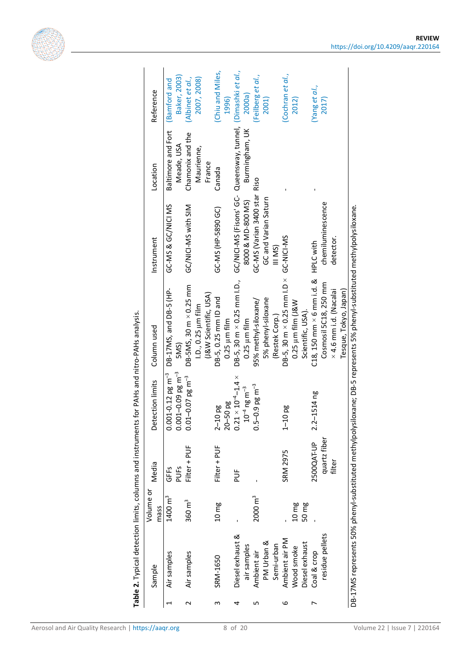<span id="page-7-0"></span>

|                | Table 2. Typical detection limits, columns and instruments for PAHs and nitro-PAHs analysis.<br>Sample | Volume or<br>mass  | Media                  | Detection limits                                                      | Column used                                                              | Instrument                                   | Location                       | Reference                        |
|----------------|--------------------------------------------------------------------------------------------------------|--------------------|------------------------|-----------------------------------------------------------------------|--------------------------------------------------------------------------|----------------------------------------------|--------------------------------|----------------------------------|
| 1              | Air samples                                                                                            | $1400 \text{ m}^3$ | GFFS                   | $0.001 - 0.12$ pg m <sup>-3</sup>                                     | DB-17MS, and DB-5 (HP-                                                   | GC-MS & GC/NICI MS                           | Baltimore and Fort             | <b>Bamford</b> and               |
| $\sim$         | Air samples                                                                                            | $360 \text{ m}^3$  | Filter + PUF<br>PUFS   | $0.001 - 0.09$ pg m <sup>-3</sup><br>$0.01 - 0.07$ pg m <sup>-3</sup> | DB-5MS, 30 m × 0.25 mm<br>5MS)                                           | GC/NICI-MS with SIM                          | Chamonix and the<br>Meade, USA | Baker, 2003)<br>(Albinet et al., |
|                |                                                                                                        |                    |                        |                                                                       | (J&W Scientific, USA)<br>1.D., 0.25 µm film                              |                                              | Maurienne,<br>France           | 2007, 2008)                      |
| w              | SRM-1650                                                                                               | 10 <sub>mg</sub>   | Filter + PUF           | $20 - 50$ pg<br>$2 - 10$ pg                                           | DB-5, 0.25 mm ID and<br>$0.25 \mu m$ film                                | GC-MS (HP-5890 GC)                           | Canada                         | (Chiu and Miles,<br>1996)        |
| 4              | Diesel exhaust &                                                                                       |                    | $\frac{1}{2}$          | $0.21 \times 10^{-4}$ -1.4 $\times$                                   | $DB-5$ , 30 m $\times$ 0.25 mm l.D.,                                     | GC/NICI-MS (Fisons' GC-                      | Queensway, tunnel,             | (Dimashki et al.,                |
| S              | air samples<br>Ambient air                                                                             | $2000 \text{ m}^3$ | ı                      | $0.5 - 0.9$ pg m <sup>-3</sup><br>$10^{-4}$ ng m <sup>-3</sup>        | 95% methyl-siloxane/<br>$0.25 \mu m$ film                                | GC-MS (Varian 3400 star<br>8000 & MD-800 MS) | Burmingham, UK<br>Riso         | (Feilberg et al.,<br>2000a       |
|                | PM Urban &                                                                                             |                    |                        |                                                                       | 5% phenyl-siloxane                                                       | GC and Varian Saturn                         |                                | 2001)                            |
|                | Semi-urban                                                                                             |                    |                        |                                                                       | (Restek Corp.)                                                           | III MS)                                      |                                |                                  |
| 6              | Ambient air PM<br>Wood smoke                                                                           | 10 <sub>mg</sub>   | <b>SRM 2975</b>        | <b>10 pg</b><br>$\overline{1}$                                        | $DB-5$ , 30 m $\times$ 0.25 mm l.D $\times$<br>$0.25 \mu m$ film $(18W)$ | GC-NICI-MS                                   |                                | (Cochran et al.,<br>2012)        |
|                | Diesel exhaust                                                                                         | 50 mg              |                        |                                                                       | Scientific, USA).                                                        |                                              |                                |                                  |
| $\overline{ }$ | Coal & crop                                                                                            |                    | 2500QAT-UP             | $2.2 - 1514$ ng                                                       | $C18$ , 150 mm $\times$ 6 mm i.d. &                                      | <b>HPLC with</b>                             |                                | (Yang et al.,                    |
|                | residue pellets                                                                                        |                    | quartz fiber<br>filter |                                                                       | Cosmosil 5C18, 250 mm                                                    | chemiluminescence                            |                                | 2017)                            |
|                |                                                                                                        |                    |                        |                                                                       | × 4.6 mm i.d. (Nacalai<br>Tesque, Tokyo, Japan)                          | detector.                                    |                                |                                  |



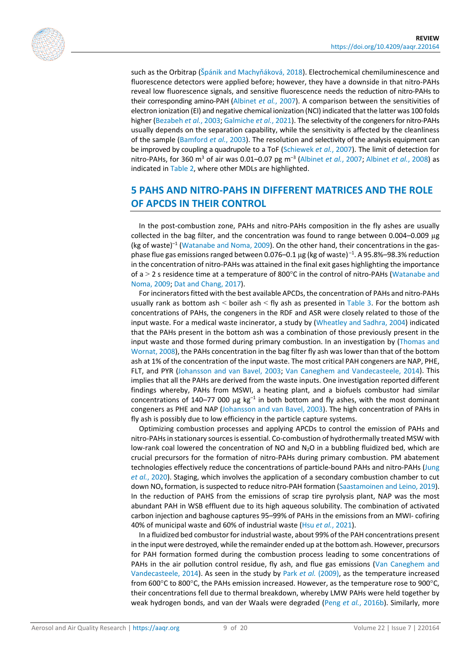

such as the Orbitrap (Špánik and [Machyňáková](#page-18-12), 2018). Electrochemical chemiluminescence and fluorescence detectors were applied before; however, they have a downside in that nitro-PAHs reveal low fluorescence signals, and sensitive fluorescence needs the reduction of nitro-PAHs to their corresponding amino-PAH [\(Albinet](#page-14-9) *et al.*, 2007). A comparison between the sensitivities of electron ionization (EI) and negative chemical ionization (NCI) indicated that the latter was 100 folds higher [\(Bezabeh](#page-15-12) *et al.*, 2003[; Galmiche](#page-16-16) *et al.*, 2021). The selectivity of the congeners for nitro-PAHs usually depends on the separation capability, while the sensitivity is affected by the cleanliness of the sample [\(Bamford](#page-14-10) *et al.*, 2003). The resolution and selectivity of the analysis equipment can be improved by coupling a quadrupole to a ToF [\(Schiewek](#page-18-13) *et al.*, 2007). The limit of detection for nitro-PAHs, for 360 m3 of air was 0.01–0.07 pg m–3 [\(Albinet](#page-14-9) *et al.*, 2007; [Albinet](#page-14-8) *et al.*, 2008) as indicated i[n Table 2,](#page-7-0) where other MDLs are highlighted.

# **5 PAHS AND NITRO-PAHS IN DIFFERENT MATRICES AND THE ROLE OF APCDS IN THEIR CONTROL**

In the post-combustion zone, PAHs and nitro-PAHs composition in the fly ashes are usually collected in the bag filter, and the concentration was found to range between 0.004-0.009 µg (kg of waste)<sup>-1</sup> [\(Watanabe and Noma, 2009\)](#page-19-1). On the other hand, their concentrations in the gasphase flue gas emissions ranged between 0.076–0.1  $\mu$ g (kg of waste) $^{-1}$ . A 95.8%–98.3% reduction in the concentration of nitro-PAHs was attained in the final exit gases highlighting the importance of a  $>$  2 s residence time at a temperature of 800 $^{\circ}$ C in the control of nitro-PAHs (Watanabe and [Noma, 2009;](#page-19-1) [Dat and Chang, 2017\)](#page-15-13).

For incinerators fitted with the best available APCDs, the concentration of PAHs and nitro-PAHs usually rank as bottom ash  $\leq$  boiler ash  $\leq$  fly ash as presented in [Table 3.](#page-9-0) For the bottom ash concentrations of PAHs, the congeners in the RDF and ASR were closely related to those of the input waste. For a medical waste incinerator, a study by [\(Wheatley and Sadhra, 2004\)](#page-19-12) indicated that the PAHs present in the bottom ash was a combination of those previously present in the input waste and those formed during primary combustion. In an investigation by [\(Thomas and](#page-18-14)  [Wornat, 2008\)](#page-18-14), the PAHs concentration in the bag filter fly ash was lower than that of the bottom ash at 1% of the concentration of the input waste. The most critical PAH congeners are NAP, PHE, FLT, and PYR [\(Johansson and van Bavel, 2003;](#page-16-1) [Van Caneghem and Vandecasteele, 2014\)](#page-18-3). This implies that all the PAHs are derived from the waste inputs. One investigation reported different findings whereby, PAHs from MSWI, a heating plant, and a biofuels combustor had similar concentrations of 140–77 000 µg  $kg^{-1}$  in both bottom and fly ashes, with the most dominant congeners as PHE and NAP [\(Johansson and van Bavel, 2003\)](#page-16-1). The high concentration of PAHs in fly ash is possibly due to low efficiency in the particle capture systems.

Optimizing combustion processes and applying APCDs to control the emission of PAHs and nitro-PAHs in stationary sources is essential. Co-combustion of hydrothermally treated MSW with low-rank coal lowered the concentration of NO and  $N<sub>2</sub>O$  in a bubbling fluidized bed, which are crucial precursors for the formation of nitro-PAHs during primary combustion. PM abatement technologies effectively reduce the concentrations of particle-bound PAHs and nitro-PAHs [\(Jung](#page-16-17)  *et al.*[, 2020\)](#page-16-17). Staging, which involves the application of a secondary combustion chamber to cut down NO<sub>x</sub> formation, is suspected to reduce nitro-PAH formation [\(Saastamoinen and Leino, 2019\)](#page-17-10). In the reduction of PAHS from the emissions of scrap tire pyrolysis plant, NAP was the most abundant PAH in WSB effluent due to its high aqueous solubility. The combination of activated carbon injection and baghouse captures 95–99% of PAHs in the emissions from an MWI- cofiring 40% of municipal waste and 60% of industrial waste (Hsu *et al.*[, 2021\)](#page-16-8).

In a fluidized bed combustor for industrial waste, about 99% of the PAH concentrations present in the input were destroyed, while the remainder ended up at the bottom ash. However, precursors for PAH formation formed during the combustion process leading to some concentrations of PAHs in the air pollution control residue, fly ash, and flue gas emissions (Van Caneghem and [Vandecasteele, 2014\)](#page-18-3). As seen in the study by Park *et al.* [\(2009\),](#page-17-11) as the temperature increased from 600°C to 800°C, the PAHs emission increased. However, as the temperature rose to 900°C, their concentrations fell due to thermal breakdown, whereby LMW PAHs were held together by weak hydrogen bonds, and van der Waals were degraded (Peng *et al.*[, 2016b\)](#page-17-12). Similarly, more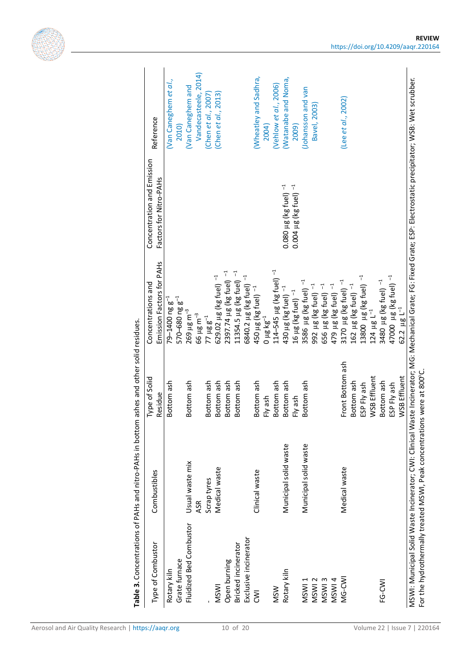<span id="page-9-0"></span>

| Type of Combustor            | Table 3. Concentrations of PAHs and nitro-PAHs in bottom ashes and other solid residues.<br>Combustibles | Type of Solid<br>Residue | Emission Factors for PAHs<br>Concentrations and           | Concentration and Emission<br>Factors for Nitro-PAHs | Reference                      |
|------------------------------|----------------------------------------------------------------------------------------------------------|--------------------------|-----------------------------------------------------------|------------------------------------------------------|--------------------------------|
|                              |                                                                                                          |                          |                                                           |                                                      |                                |
| Grate furnace<br>Rotary kiln |                                                                                                          | Bottom ash               | $79 - 1400$ ng g <sup>-1</sup>                            |                                                      | (Van Caneghem et al.,<br>2010) |
|                              |                                                                                                          |                          | $570 - 680$ ng $g^{-1}$                                   |                                                      |                                |
| Fluidized Bed Combustor      | Usual waste mix                                                                                          | Bottom ash               | $269 \,\mu g \,m^{-3}$                                    |                                                      | (Van Caneghem and              |
|                              | ASR                                                                                                      |                          | 66 µg m <sup>-3</sup>                                     |                                                      | Vandecasteele, 2014)           |
|                              | Scrap tyres                                                                                              | Bottom ash               | $77 \mu g g^{-1}$                                         |                                                      | Chen et al., 2007              |
| <b>MSWI</b>                  | Medical waste                                                                                            | Bottom ash               | 629.02 µg (kg fuel) -1                                    |                                                      | (Chen et al., 2013)            |
| Open burning                 |                                                                                                          | Bottom ash               | $2397.74 \mu g$ (kg fuel) $^{-1}$                         |                                                      |                                |
| Bricked incinerator          |                                                                                                          | Bottom ash               | $11354.5 \ \mu g$ (kg fuel) $^{-1}$                       |                                                      |                                |
| Exclusive incinerator        |                                                                                                          |                          | 6840.2 µg (kg fuel) -1                                    |                                                      |                                |
| $\overline{\mathsf{S}}$      | Clinical waste                                                                                           | Bottom ash               | 450 µg (kg fuel) <sup>-1</sup>                            |                                                      | (Wheatley and Sadhra,          |
|                              |                                                                                                          | Fly ash                  | $0 \mu g \log^{-1}$                                       |                                                      | 2004)                          |
| <b>MSW</b>                   |                                                                                                          | Bottom ash               | 114-545 µg (kg fuel) - <sup>1</sup>                       |                                                      | (Vehlow et al., 2006)          |
| Rotary kiln                  | Municipal solid waste                                                                                    | Bottom ash               | 430 µg (kg fuel) <sup>-1</sup>                            | $0.080 \,\mu g$ (kg fuel) $^{-1}$                    | (Watanabe and Noma,            |
|                              |                                                                                                          | Fly ash                  | 16 µg (kg fuel) -1                                        | $0.004 \ \mu g$ (kg fuel) $^{-1}$                    | 2009)                          |
| MSWI <sub>1</sub>            | Municipal solid waste                                                                                    | Bottom ash               | $\vec{a}$<br>3586 µg (kg fuel)                            |                                                      | (Johansson and van             |
| MSWI <sub>2</sub>            |                                                                                                          |                          | 4<br>992 µg (kg fuel)                                     |                                                      | Bavel, 2003)                   |
| MSWI3                        |                                                                                                          |                          | 656 µg (kg fuel) -1                                       |                                                      |                                |
| MSWI4                        |                                                                                                          |                          | 479 µg (kg fuel) -1                                       |                                                      |                                |
| MG-CWI                       | Medical waste                                                                                            | Front Bottom ash         | 3170 $\mu$ g (kg fuel) $^{-1}$                            |                                                      | (Lee et al., 2002)             |
|                              |                                                                                                          | Bottom ash               | 162 µg (kg fuel)                                          |                                                      |                                |
|                              |                                                                                                          | ESP Fly ash              |                                                           |                                                      |                                |
|                              |                                                                                                          | WSB Effluent             | 13800 $\,\mu$ g (kg fuel) $^{-1}$ 124 $\,\mu$ g L $^{-1}$ |                                                      |                                |
| FG-CWI                       |                                                                                                          | Bottom ash               | 3480 µg (kg fuel) -1                                      |                                                      |                                |
|                              |                                                                                                          | ESP Fly ash              | 47000 µg (kg fuel) <sup>-1</sup>                          |                                                      |                                |
|                              |                                                                                                          | WSB Effluent             | $62.2 \mu g L^{-1}$                                       |                                                      |                                |

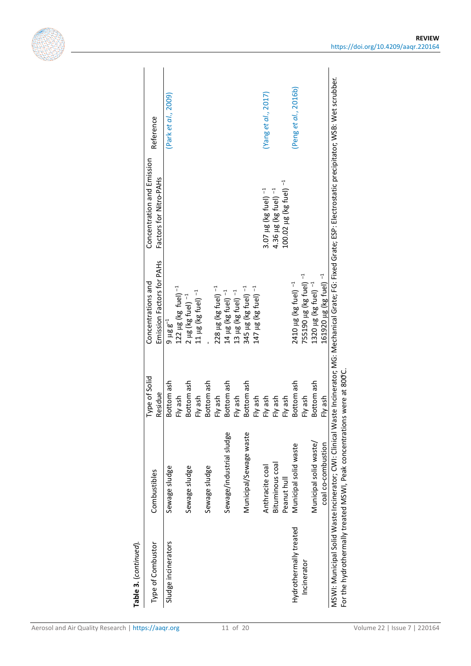

| Emission Factors for PAHs<br>$\overline{1}$<br>755190 µg (kg fuel)<br>Concentrations and<br>2410 µg (kg fuel) <sup>-1</sup><br>345 µg (kg fuel) -1<br>147 µg (kg fuel) -1<br>122 $\mu$ g (kg fuel) $^{-1}$<br>T<br>13 $\mu$ g (kg fuel) $^{-1}$<br>11 $\mu$ g (kg fuel) $^{-1}$<br>228 µg (kg fuel)<br>$2 \mu g$ (kg fuel) $^{-1}$<br>14 µg (kg fuel)<br>$9 \mu g g^{-1}$<br>Type of Solid<br>Bottom ash<br>Bottom ash<br>Bottom ash<br>Bottom ash<br>Bottom ash<br>Bottom ash<br>Residue<br>Fly ash<br>Fly ash<br>Fly ash<br>Fly ash<br>Fly ash<br>Fly ash<br>Fly ash<br>Fly ash<br>Fly ash<br>Sewage/industrial sludge<br>Municipal/Sewage waste<br>Municipal solid waste<br>Bituminous coal<br>Anthracite coal<br>Sewage sludge<br>Sewage sludge<br>Sewage sludge<br>Combustibles<br>Peanut hull<br>Hydrothermally treated<br>Sludge incinerators<br>Type of Combustor<br>Incinerator |                                                                   |                                  |            |                        |  |
|------------------------------------------------------------------------------------------------------------------------------------------------------------------------------------------------------------------------------------------------------------------------------------------------------------------------------------------------------------------------------------------------------------------------------------------------------------------------------------------------------------------------------------------------------------------------------------------------------------------------------------------------------------------------------------------------------------------------------------------------------------------------------------------------------------------------------------------------------------------------------------------|-------------------------------------------------------------------|----------------------------------|------------|------------------------|--|
|                                                                                                                                                                                                                                                                                                                                                                                                                                                                                                                                                                                                                                                                                                                                                                                                                                                                                          | Reference<br>Concentration and Emission<br>Factors for Nitro-PAHs |                                  |            |                        |  |
|                                                                                                                                                                                                                                                                                                                                                                                                                                                                                                                                                                                                                                                                                                                                                                                                                                                                                          | (Park et al., 2009)                                               |                                  |            |                        |  |
|                                                                                                                                                                                                                                                                                                                                                                                                                                                                                                                                                                                                                                                                                                                                                                                                                                                                                          |                                                                   |                                  |            |                        |  |
|                                                                                                                                                                                                                                                                                                                                                                                                                                                                                                                                                                                                                                                                                                                                                                                                                                                                                          |                                                                   |                                  |            |                        |  |
|                                                                                                                                                                                                                                                                                                                                                                                                                                                                                                                                                                                                                                                                                                                                                                                                                                                                                          |                                                                   |                                  |            |                        |  |
|                                                                                                                                                                                                                                                                                                                                                                                                                                                                                                                                                                                                                                                                                                                                                                                                                                                                                          |                                                                   |                                  |            |                        |  |
|                                                                                                                                                                                                                                                                                                                                                                                                                                                                                                                                                                                                                                                                                                                                                                                                                                                                                          |                                                                   |                                  |            |                        |  |
|                                                                                                                                                                                                                                                                                                                                                                                                                                                                                                                                                                                                                                                                                                                                                                                                                                                                                          |                                                                   |                                  |            |                        |  |
|                                                                                                                                                                                                                                                                                                                                                                                                                                                                                                                                                                                                                                                                                                                                                                                                                                                                                          |                                                                   |                                  |            |                        |  |
|                                                                                                                                                                                                                                                                                                                                                                                                                                                                                                                                                                                                                                                                                                                                                                                                                                                                                          |                                                                   |                                  |            |                        |  |
|                                                                                                                                                                                                                                                                                                                                                                                                                                                                                                                                                                                                                                                                                                                                                                                                                                                                                          |                                                                   |                                  |            |                        |  |
|                                                                                                                                                                                                                                                                                                                                                                                                                                                                                                                                                                                                                                                                                                                                                                                                                                                                                          | (Yanget al., 2017)<br>3.07 $\mu$ g (kg fuel) $^{-1}$              |                                  |            |                        |  |
|                                                                                                                                                                                                                                                                                                                                                                                                                                                                                                                                                                                                                                                                                                                                                                                                                                                                                          | 4.36 µg (kg fuel) -1                                              |                                  |            |                        |  |
|                                                                                                                                                                                                                                                                                                                                                                                                                                                                                                                                                                                                                                                                                                                                                                                                                                                                                          | 100.02 µg (kg fuel) -1                                            |                                  |            |                        |  |
|                                                                                                                                                                                                                                                                                                                                                                                                                                                                                                                                                                                                                                                                                                                                                                                                                                                                                          | (Penget $al.$ , 2016b)                                            |                                  |            |                        |  |
|                                                                                                                                                                                                                                                                                                                                                                                                                                                                                                                                                                                                                                                                                                                                                                                                                                                                                          |                                                                   |                                  |            |                        |  |
|                                                                                                                                                                                                                                                                                                                                                                                                                                                                                                                                                                                                                                                                                                                                                                                                                                                                                          |                                                                   | 1320 µg (kg fuel) - <sup>1</sup> | Bottom ash | Municipal solid waste/ |  |
| 161920 µg (kg fuel) -1<br>Fly ash<br>coal co-combustion                                                                                                                                                                                                                                                                                                                                                                                                                                                                                                                                                                                                                                                                                                                                                                                                                                  |                                                                   |                                  |            |                        |  |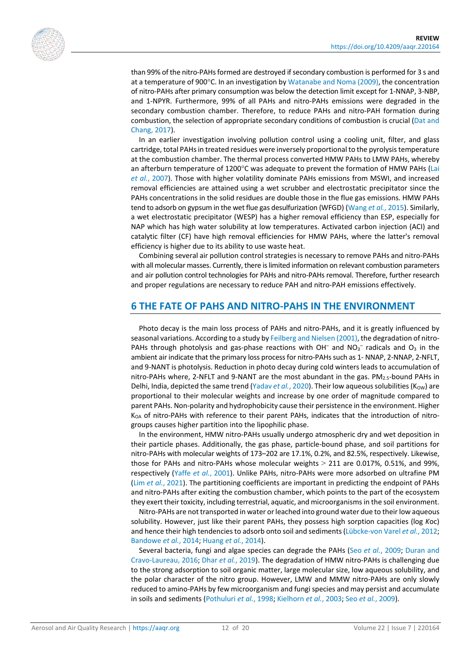

than 99% of the nitro-PAHs formed are destroyed if secondary combustion is performed for 3 s and at a temperature of 900°C. In an investigation b[y Watanabe and Noma \(2009\),](#page-19-1) the concentration of nitro-PAHs after primary consumption was below the detection limit except for 1-NNAP, 3-NBP, and 1-NPYR. Furthermore, 99% of all PAHs and nitro-PAHs emissions were degraded in the secondary combustion chamber. Therefore, to reduce PAHs and nitro-PAH formation during combustion, the selection of appropriate secondary conditions of combustion is crucial [\(Dat and](#page-15-13)  [Chang, 2017\)](#page-15-13).

In an earlier investigation involving pollution control using a cooling unit, filter, and glass cartridge, total PAHs in treated residues were inversely proportional to the pyrolysis temperature at the combustion chamber. The thermal process converted HMW PAHs to LMW PAHs, whereby an afterburn temperature of 1200°C was adequate to prevent the formation of HMW PAHs [\(Lai](#page-17-14)  *et al.*[, 2007\)](#page-17-14). Those with higher volatility dominate PAHs emissions from MSWI, and increased removal efficiencies are attained using a wet scrubber and electrostatic precipitator since the PAHs concentrations in the solid residues are double those in the flue gas emissions. HMW PAHs tend to adsorb on gypsum in the wet flue gas desulfurization (WFGD) [\(Wang](#page-19-13) *et al.*, 2015). Similarly, a wet electrostatic precipitator (WESP) has a higher removal efficiency than ESP, especially for NAP which has high water solubility at low temperatures. Activated carbon injection (ACI) and catalytic filter (CF) have high removal efficiencies for HMW PAHs, where the latter's removal efficiency is higher due to its ability to use waste heat.

Combining several air pollution control strategies is necessary to remove PAHs and nitro-PAHs with all molecular masses. Currently, there is limited information on relevant combustion parameters and air pollution control technologies for PAHs and nitro-PAHs removal. Therefore, further research and proper regulations are necessary to reduce PAH and nitro-PAH emissions effectively.

#### **6 THE FATE OF PAHS AND NITRO-PAHS IN THE ENVIRONMENT**

Photo decay is the main loss process of PAHs and nitro-PAHs, and it is greatly influenced by seasonal variations. According to a study by [Feilberg and Nielsen \(2001\),](#page-16-18) the degradation of nitro-PAHs through photolysis and gas-phase reactions with OH<sup>-</sup> and NO<sub>3</sub><sup>-</sup> radicals and O<sub>3</sub> in the ambient air indicate that the primary loss process for nitro-PAHs such as 1- NNAP, 2-NNAP, 2-NFLT, and 9-NANT is photolysis. Reduction in photo decay during cold winters leads to accumulation of nitro-PAHs where, 2-NFLT and 9-NANT are the most abundant in the gas.  $PM_{2.5}$ -bound PAHs in Delhi, India, depicted the same trend [\(Yadav](#page-19-14) *et al.*, 2020). Their low aqueous solubilities (K<sub>OW</sub>) are proportional to their molecular weights and increase by one order of magnitude compared to parent PAHs. Non-polarity and hydrophobicity cause their persistence in the environment. Higher  $K<sub>OA</sub>$  of nitro-PAHs with reference to their parent PAHs, indicates that the introduction of nitrogroups causes higher partition into the lipophilic phase.

In the environment, HMW nitro-PAHs usually undergo atmospheric dry and wet deposition in their particle phases. Additionally, the gas phase, particle-bound phase, and soil partitions for nitro-PAHs with molecular weights of 173–202 are 17.1%, 0.2%, and 82.5%, respectively. Likewise, those for PAHs and nitro-PAHs whose molecular weights > 211 are 0.017%, 0.51%, and 99%, respectively (Yaffe *et al.*[, 2001\)](#page-19-3). Unlike PAHs, nitro-PAHs were more adsorbed on ultrafine PM (Lim *et al.*[, 2021\)](#page-17-15). The partitioning coefficients are important in predicting the endpoint of PAHs and nitro-PAHs after exiting the combustion chamber, which points to the part of the ecosystem they exert their toxicity, including terrestrial, aquatic, and microorganisms in the soil environment.

Nitro-PAHs are not transported in water or leached into ground water due to their low aqueous solubility. However, just like their parent PAHs, they possess high sorption capacities (log *K*oc) and hence their high tendencies to adsorb onto soil and sediments [\(Lübcke-von Varel](#page-17-16) *et al.*, 2012; [Bandowe](#page-14-2) *et al.*, 2014[; Huang](#page-16-9) *et al.*, 2014).

Several bacteria, fungi and algae species can degrade the PAHs (Seo *et al.*[, 2009;](#page-18-16) [Duran and](#page-15-14)  [Cravo-Laureau, 2016;](#page-15-14) Dhar *et al.*[, 2019\)](#page-15-15). The degradation of HMW nitro-PAHs is challenging due to the strong adsorption to soil organic matter, large molecular size, low aqueous solubility, and the polar character of the nitro group. However, LMW and MMW nitro-PAHs are only slowly reduced to amino-PAHs by few microorganism and fungi species and may persist and accumulate in soils and sediments [\(Pothuluri](#page-17-17) *et al.*, 1998[; Kielhorn](#page-17-18) *et al.*, 2003; Seo *et al.*[, 2009\)](#page-18-16).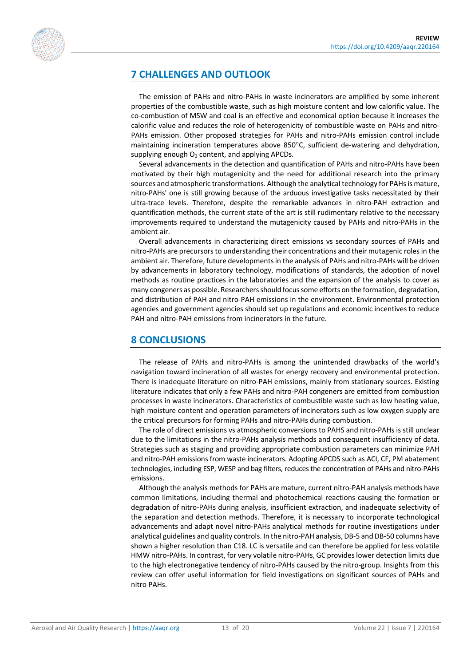

### **7 CHALLENGES AND OUTLOOK**

The emission of PAHs and nitro-PAHs in waste incinerators are amplified by some inherent properties of the combustible waste, such as high moisture content and low calorific value. The co-combustion of MSW and coal is an effective and economical option because it increases the calorific value and reduces the role of heterogenicity of combustible waste on PAHs and nitro-PAHs emission. Other proposed strategies for PAHs and nitro-PAHs emission control include maintaining incineration temperatures above 850°C, sufficient de-watering and dehydration, supplying enough  $O<sub>2</sub>$  content, and applying APCDs.

Several advancements in the detection and quantification of PAHs and nitro-PAHs have been motivated by their high mutagenicity and the need for additional research into the primary sources and atmospheric transformations. Although the analytical technology for PAHs is mature, nitro-PAHs' one is still growing because of the arduous investigative tasks necessitated by their ultra-trace levels. Therefore, despite the remarkable advances in nitro-PAH extraction and quantification methods, the current state of the art is still rudimentary relative to the necessary improvements required to understand the mutagenicity caused by PAHs and nitro-PAHs in the ambient air.

Overall advancements in characterizing direct emissions vs secondary sources of PAHs and nitro-PAHs are precursors to understanding their concentrations and their mutagenic roles in the ambient air. Therefore, future developments in the analysis of PAHs and nitro-PAHs will be driven by advancements in laboratory technology, modifications of standards, the adoption of novel methods as routine practices in the laboratories and the expansion of the analysis to cover as many congeners as possible. Researchers should focus some efforts on the formation, degradation, and distribution of PAH and nitro-PAH emissions in the environment. Environmental protection agencies and government agencies should set up regulations and economic incentives to reduce PAH and nitro-PAH emissions from incinerators in the future.

### **8 CONCLUSIONS**

The release of PAHs and nitro-PAHs is among the unintended drawbacks of the world's navigation toward incineration of all wastes for energy recovery and environmental protection. There is inadequate literature on nitro-PAH emissions, mainly from stationary sources. Existing literature indicates that only a few PAHs and nitro-PAH congeners are emitted from combustion processes in waste incinerators. Characteristics of combustible waste such as low heating value, high moisture content and operation parameters of incinerators such as low oxygen supply are the critical precursors for forming PAHs and nitro-PAHs during combustion.

The role of direct emissions vs atmospheric conversions to PAHS and nitro-PAHs is still unclear due to the limitations in the nitro-PAHs analysis methods and consequent insufficiency of data. Strategies such as staging and providing appropriate combustion parameters can minimize PAH and nitro-PAH emissions from waste incinerators. Adopting APCDS such as ACI, CF, PM abatement technologies, including ESP, WESP and bag filters, reduces the concentration of PAHs and nitro-PAHs emissions.

Although the analysis methods for PAHs are mature, current nitro-PAH analysis methods have common limitations, including thermal and photochemical reactions causing the formation or degradation of nitro-PAHs during analysis, insufficient extraction, and inadequate selectivity of the separation and detection methods. Therefore, it is necessary to incorporate technological advancements and adapt novel nitro-PAHs analytical methods for routine investigations under analytical guidelines and quality controls. In the nitro-PAH analysis, DB-5 and DB-50 columns have shown a higher resolution than C18. LC is versatile and can therefore be applied for less volatile HMW nitro-PAHs. In contrast, for very volatile nitro-PAHs, GC provides lower detection limits due to the high electronegative tendency of nitro-PAHs caused by the nitro-group. Insights from this review can offer useful information for field investigations on significant sources of PAHs and nitro PAHs.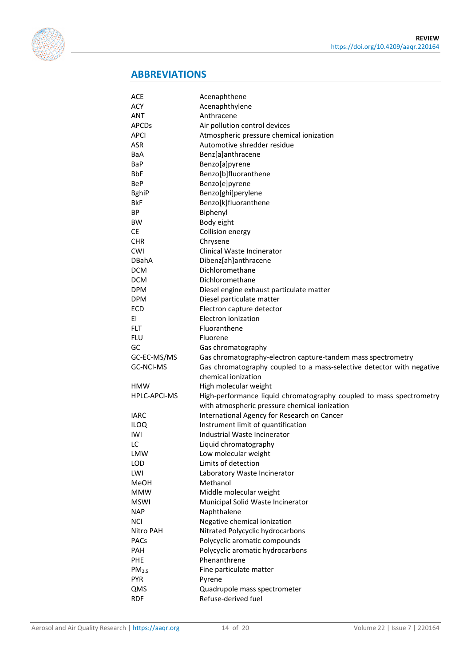

## **ABBREVIATIONS**

| ACE               | Acenaphthene                                                                                                         |
|-------------------|----------------------------------------------------------------------------------------------------------------------|
| <b>ACY</b>        | Acenaphthylene                                                                                                       |
| <b>ANT</b>        | Anthracene                                                                                                           |
| <b>APCDs</b>      | Air pollution control devices                                                                                        |
| <b>APCI</b>       | Atmospheric pressure chemical ionization                                                                             |
| <b>ASR</b>        | Automotive shredder residue                                                                                          |
| BaA               | Benz[a]anthracene                                                                                                    |
| BaP               | Benzo[a]pyrene                                                                                                       |
| <b>BbF</b>        | Benzo[b]fluoranthene                                                                                                 |
| <b>BeP</b>        | Benzo[e]pyrene                                                                                                       |
| <b>BghiP</b>      | Benzo[ghi]perylene                                                                                                   |
| <b>BkF</b>        | Benzo[k]fluoranthene                                                                                                 |
| ΒP                | Biphenyl                                                                                                             |
| BW                | Body eight                                                                                                           |
| <b>CE</b>         | Collision energy                                                                                                     |
| <b>CHR</b>        | Chrysene                                                                                                             |
| <b>CWI</b>        | Clinical Waste Incinerator                                                                                           |
| <b>DBahA</b>      | Dibenz[ah]anthracene                                                                                                 |
| <b>DCM</b>        | Dichloromethane                                                                                                      |
| <b>DCM</b>        | Dichloromethane                                                                                                      |
| <b>DPM</b>        | Diesel engine exhaust particulate matter                                                                             |
| <b>DPM</b>        | Diesel particulate matter                                                                                            |
|                   |                                                                                                                      |
| <b>ECD</b>        | Electron capture detector<br>Electron ionization                                                                     |
| ΕI                |                                                                                                                      |
| <b>FLT</b>        | Fluoranthene                                                                                                         |
| <b>FLU</b>        | Fluorene                                                                                                             |
| GC                | Gas chromatography                                                                                                   |
| GC-EC-MS/MS       | Gas chromatography-electron capture-tandem mass spectrometry                                                         |
| GC-NCI-MS         | Gas chromatography coupled to a mass-selective detector with negative                                                |
|                   | chemical ionization                                                                                                  |
| <b>HMW</b>        | High molecular weight                                                                                                |
| HPLC-APCI-MS      | High-performance liquid chromatography coupled to mass spectrometry<br>with atmospheric pressure chemical ionization |
| <b>IARC</b>       | International Agency for Research on Cancer                                                                          |
| <b>ILOQ</b>       | Instrument limit of quantification                                                                                   |
| IWI               | Industrial Waste Incinerator                                                                                         |
| LC                | Liquid chromatography                                                                                                |
| LMW               | Low molecular weight                                                                                                 |
| <b>LOD</b>        | Limits of detection                                                                                                  |
| LWI               | Laboratory Waste Incinerator                                                                                         |
| <b>MeOH</b>       | Methanol                                                                                                             |
| <b>MMW</b>        | Middle molecular weight                                                                                              |
| <b>MSWI</b>       | Municipal Solid Waste Incinerator                                                                                    |
| <b>NAP</b>        | Naphthalene                                                                                                          |
| <b>NCI</b>        | Negative chemical ionization                                                                                         |
| Nitro PAH         | Nitrated Polycyclic hydrocarbons                                                                                     |
| <b>PACs</b>       | Polycyclic aromatic compounds                                                                                        |
| PAH               | Polycyclic aromatic hydrocarbons                                                                                     |
| <b>PHE</b>        | Phenanthrene                                                                                                         |
| PM <sub>2.5</sub> | Fine particulate matter                                                                                              |
| <b>PYR</b>        | Pyrene                                                                                                               |
| QMS               | Quadrupole mass spectrometer                                                                                         |
| <b>RDF</b>        | Refuse-derived fuel                                                                                                  |
|                   |                                                                                                                      |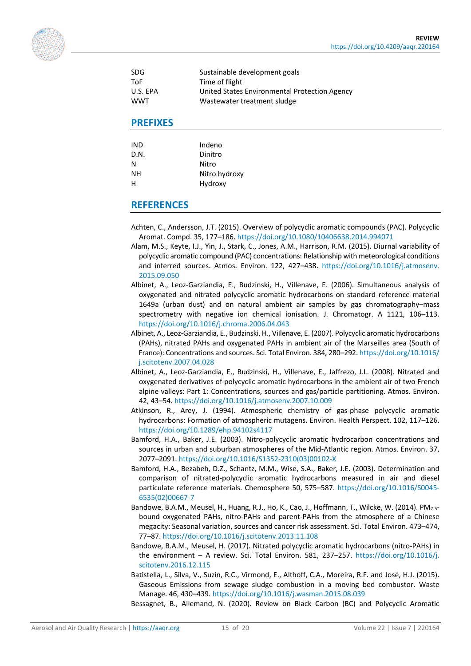<span id="page-14-12"></span>

| <b>SDG</b> | Sustainable development goals                 |
|------------|-----------------------------------------------|
| ToF        | Time of flight                                |
| U.S. EPA   | United States Environmental Protection Agency |
| <b>WWT</b> | Wastewater treatment sludge                   |

#### **PREFIXES**

| IND  | Indeno        |
|------|---------------|
| D.N. | Dinitro       |
| N    | Nitro         |
| NΗ   | Nitro hydroxy |
| н    | Hydroxy       |
|      |               |

#### **REFERENCES**

- <span id="page-14-5"></span>Achten, C., Andersson, J.T. (2015). Overview of polycyclic aromatic compounds (PAC). Polycyclic Aromat. Compd. 35, 177–186.<https://doi.org/10.1080/10406638.2014.994071>
- <span id="page-14-4"></span>Alam, M.S., Keyte, I.J., Yin, J., Stark, C., Jones, A.M., Harrison, R.M. (2015). Diurnal variability of polycyclic aromatic compound (PAC) concentrations: Relationship with meteorological conditions and inferred sources. Atmos. Environ. 122, 427–438. [https://doi.org/10.1016/j.atmosenv.](https://doi.org/10.1016/j.atmosenv.%E2%80%8B2015.09.050) [2015.09.050](https://doi.org/10.1016/j.atmosenv.%E2%80%8B2015.09.050)
- <span id="page-14-1"></span>Albinet, A., Leoz-Garziandia, E., Budzinski, H., ViIlenave, E. (2006). Simultaneous analysis of oxygenated and nitrated polycyclic aromatic hydrocarbons on standard reference material 1649a (urban dust) and on natural ambient air samples by gas chromatography–mass spectrometry with negative ion chemical ionisation. J. Chromatogr. A 1121, 106–113. <https://doi.org/10.1016/j.chroma.2006.04.043>
- <span id="page-14-9"></span>Albinet, A., Leoz-Garziandia, E., Budzinski, H., ViIlenave, E. (2007). Polycyclic aromatic hydrocarbons (PAHs), nitrated PAHs and oxygenated PAHs in ambient air of the Marseilles area (South of France): Concentrations and sources. Sci. Total Environ. 384, 280–292[. https://doi.org/10.1016/](https://doi.org/10.1016/%E2%80%8Bj.scitotenv.2007.04.028) [j.scitotenv.2007.04.028](https://doi.org/10.1016/%E2%80%8Bj.scitotenv.2007.04.028)
- <span id="page-14-8"></span>Albinet, A., Leoz-Garziandia, E., Budzinski, H., Villenave, E., Jaffrezo, J.L. (2008). Nitrated and oxygenated derivatives of polycyclic aromatic hydrocarbons in the ambient air of two French alpine valleys: Part 1: Concentrations, sources and gas/particle partitioning. Atmos. Environ. 42, 43–54[. https://doi.org/10.1016/j.atmosenv.2007.10.009](https://doi.org/10.1016/j.atmosenv.2007.10.009)
- <span id="page-14-6"></span>Atkinson, R., Arey, J. (1994). Atmospheric chemistry of gas-phase polycyclic aromatic hydrocarbons: Formation of atmospheric mutagens. Environ. Health Perspect. 102, 117–126. <https://doi.org/10.1289/ehp.94102s4117>
- <span id="page-14-11"></span>Bamford, H.A., Baker, J.E. (2003). Nitro-polycyclic aromatic hydrocarbon concentrations and sources in urban and suburban atmospheres of the Mid-Atlantic region. Atmos. Environ. 37, 2077–2091. [https://doi.org/10.1016/S1352-2310\(03\)00102-X](https://doi.org/10.1016/S1352-2310(03)00102-X)
- <span id="page-14-10"></span>Bamford, H.A., Bezabeh, D.Z., Schantz, M.M., Wise, S.A., Baker, J.E. (2003). Determination and comparison of nitrated-polycyclic aromatic hydrocarbons measured in air and diesel particulate reference materials. Chemosphere 50, 575–587. [https://doi.org/10.1016/S0045-](https://doi.org/10.1016/S0045-6535(02)00667-7) [6535\(02\)00667-7](https://doi.org/10.1016/S0045-6535(02)00667-7)
- <span id="page-14-2"></span>Bandowe, B.A.M., Meusel, H., Huang, R.J., Ho, K., Cao, J., Hoffmann, T., Wilcke, W. (2014). PM<sub>2.5</sub>bound oxygenated PAHs, nitro-PAHs and parent-PAHs from the atmosphere of a Chinese megacity: Seasonal variation, sources and cancer risk assessment. Sci. Total Environ. 473–474, 77–87[. https://doi.org/10.1016/j.scitotenv.2013.11.108](https://doi.org/10.1016/j.scitotenv.2013.11.108)
- <span id="page-14-0"></span>Bandowe, B.A.M., Meusel, H. (2017). Nitrated polycyclic aromatic hydrocarbons (nitro-PAHs) in the environment – A review. Sci. Total Environ. 581, 237–257. [https://doi.org/10.1016/j.](https://doi.org/10.1016/j.scitotenv.2016.12.115) [scitotenv.2016.12.115](https://doi.org/10.1016/j.scitotenv.2016.12.115)
- <span id="page-14-7"></span>Batistella, L., Silva, V., Suzin, R.C., Virmond, E., Althoff, C.A., Moreira, R.F. and José, H.J. (2015). Gaseous Emissions from sewage sludge combustion in a moving bed combustor. Waste Manage. 46, 430–439[. https://doi.org/10.1016/j.wasman.2015.08.039](https://doi.org/10.1016/j.wasman.2015.08.039)
- <span id="page-14-3"></span>Bessagnet, B., Allemand, N. (2020). Review on Black Carbon (BC) and Polycyclic Aromatic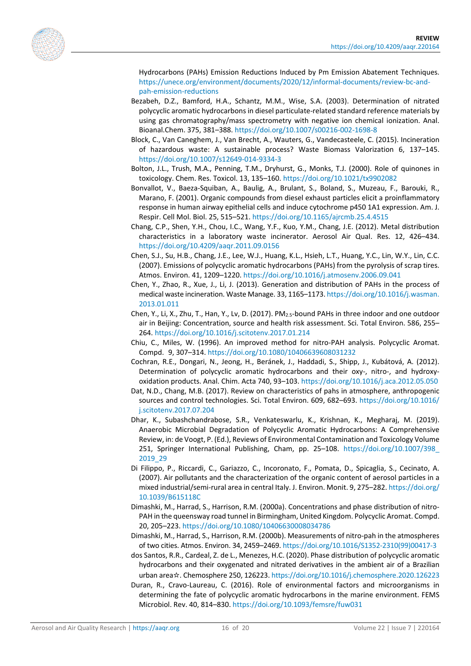<span id="page-15-12"></span><span id="page-15-11"></span>

Hydrocarbons (PAHs) Emission Reductions Induced by Pm Emission Abatement Techniques. [https://unece.org/environment/documents/2020/12/informal-documents/review-bc-and](https://unece.org/environment/documents/2020/12/informal-documents/review-bc-and-pah-emission-reductions)[pah-emission-reductions](https://unece.org/environment/documents/2020/12/informal-documents/review-bc-and-pah-emission-reductions)

- Bezabeh, D.Z., Bamford, H.A., Schantz, M.M., Wise, S.A. (2003). Determination of nitrated polycyclic aromatic hydrocarbons in diesel particulate-related standard reference materials by using gas chromatography/mass spectrometry with negative ion chemical ionization. Anal. Bioanal.Chem. 375, 381–388.<https://doi.org/10.1007/s00216-002-1698-8>
- <span id="page-15-7"></span>Block, C., Van Caneghem, J., Van Brecht, A., Wauters, G., Vandecasteele, C. (2015). Incineration of hazardous waste: A sustainable process? Waste Biomass Valorization 6, 137–145. <https://doi.org/10.1007/s12649-014-9334-3>
- <span id="page-15-6"></span>Bolton, J.L., Trush, M.A., Penning, T.M., Dryhurst, G., Monks, T.J. (2000). Role of quinones in toxicology. Chem. Res. Toxicol. 13, 135–160.<https://doi.org/10.1021/tx9902082>
- <span id="page-15-5"></span>Bonvallot, V., Baeza-Squiban, A., Baulig, A., Brulant, S., Boland, S., Muzeau, F., Barouki, R., Marano, F. (2001). Organic compounds from diesel exhaust particles elicit a proinflammatory response in human airway epithelial cells and induce cytochrome p450 1A1 expression. Am. J. Respir. Cell Mol. Biol. 25, 515–521.<https://doi.org/10.1165/ajrcmb.25.4.4515>
- <span id="page-15-4"></span>Chang, C.P., Shen, Y.H., Chou, I.C., Wang, Y.F., Kuo, Y.M., Chang, J.E. (2012). Metal distribution characteristics in a laboratory waste incinerator. Aerosol Air Qual. Res. 12, 426–434. <https://doi.org/10.4209/aaqr.2011.09.0156>
- Chen, S.J., Su, H.B., Chang, J.E., Lee, W.J., Huang, K.L., Hsieh, L.T., Huang, Y.C., Lin, W.Y., Lin, C.C. (2007). Emissions of polycyclic aromatic hydrocarbons (PAHs) from the pyrolysis of scrap tires. Atmos. Environ. 41, 1209–1220[. https://doi.org/10.1016/j.atmosenv.2006.09.041](https://doi.org/10.1016/j.atmosenv.2006.09.041)
- <span id="page-15-3"></span>Chen, Y., Zhao, R., Xue, J., Li, J. (2013). Generation and distribution of PAHs in the process of medical waste incineration. Waste Manage. 33, 1165–1173[. https://doi.org/10.1016/j.wasman.](https://doi.org/10.1016/j.wasman.2013.01.011) [2013.01.011](https://doi.org/10.1016/j.wasman.2013.01.011)
- <span id="page-15-1"></span>Chen, Y., Li, X., Zhu, T., Han, Y., Lv, D. (2017). PM2.5-bound PAHs in three indoor and one outdoor air in Beijing: Concentration, source and health risk assessment. Sci. Total Environ. 586, 255– 264[. https://doi.org/10.1016/j.scitotenv.2017.01.214](https://doi.org/10.1016/j.scitotenv.2017.01.214)
- Chiu, C., Miles, W. (1996). An improved method for nitro-PAH analysis. Polycyclic Aromat. Compd. 9, 307–314[. https://doi.org/10.1080/10406639608031232](https://doi.org/10.1080/10406639608031232)
- <span id="page-15-10"></span>Cochran, R.E., Dongari, N., Jeong, H., Beránek, J., Haddadi, S., Shipp, J., Kubátová, A. (2012). Determination of polycyclic aromatic hydrocarbons and their oxy-, nitro-, and hydroxyoxidation products. Anal. Chim. Acta 740, 93–103.<https://doi.org/10.1016/j.aca.2012.05.050>
- <span id="page-15-13"></span>Dat, N.D., Chang, M.B. (2017). Review on characteristics of pahs in atmosphere, anthropogenic sources and control technologies. Sci. Total Environ. 609, 682–693. [https://doi.org/10.1016/](https://doi.org/10.1016/j.scitotenv.2017.07.204) [j.scitotenv.2017.07.204](https://doi.org/10.1016/j.scitotenv.2017.07.204)
- <span id="page-15-15"></span>Dhar, K., Subashchandrabose, S.R., Venkateswarlu, K., Krishnan, K., Megharaj, M. (2019). Anaerobic Microbial Degradation of Polycyclic Aromatic Hydrocarbons: A Comprehensive Review, in: de Voogt, P. (Ed.), Reviews of Environmental Contamination and Toxicology Volume 251, Springer International Publishing, Cham, pp. 25–108. [https://doi.org/10.1007/398\\_](https://doi.org/10.1007/398_2019_29) [2019\\_29](https://doi.org/10.1007/398_2019_29)
- <span id="page-15-0"></span>Di Filippo, P., Riccardi, C., Gariazzo, C., Incoronato, F., Pomata, D., Spicaglia, S., Cecinato, A. (2007). Air pollutants and the characterization of the organic content of aerosol particles in a mixed industrial/semi-rural area in central Italy. J. Environ. Monit. 9, 275–282[. https://doi.org/](https://doi.org/10.1039/B615118C) [10.1039/B615118C](https://doi.org/10.1039/B615118C)
- <span id="page-15-9"></span>Dimashki, M., Harrad, S., Harrison, R.M. (2000a). Concentrations and phase distribution of nitro-PAH in the queensway road tunnel in Birmingham, United Kingdom. Polycyclic Aromat. Compd. 20, 205–223.<https://doi.org/10.1080/10406630008034786>
- <span id="page-15-8"></span>Dimashki, M., Harrad, S., Harrison, R.M. (2000b). Measurements of nitro-pah in the atmospheres of two cities. Atmos. Environ. 34, 2459–2469[. https://doi.org/10.1016/S1352-2310\(99\)00417-3](https://doi.org/10.1016/S1352-2310(99)00417-3)
- <span id="page-15-2"></span>dos Santos, R.R., Cardeal, Z. de L., Menezes, H.C. (2020). Phase distribution of polycyclic aromatic hydrocarbons and their oxygenated and nitrated derivatives in the ambient air of a Brazilian urban area☆. Chemosphere 250, 126223[. https://doi.org/10.1016/j.chemosphere.2020.126223](https://doi.org/10.1016/j.chemosphere.2020.126223)
- <span id="page-15-14"></span>Duran, R., Cravo-Laureau, C. (2016). Role of environmental factors and microorganisms in determining the fate of polycyclic aromatic hydrocarbons in the marine environment. FEMS Microbiol. Rev. 40, 814–830[. https://doi.org/10.1093/femsre/fuw031](https://doi.org/10.1093/femsre/fuw031)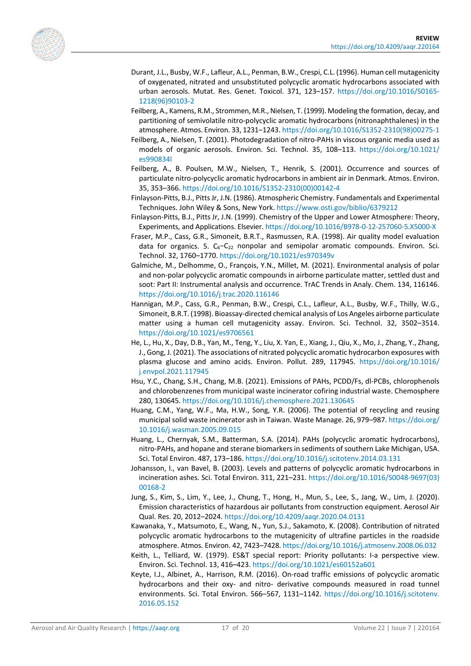<span id="page-16-15"></span><span id="page-16-11"></span><span id="page-16-5"></span>

- Durant, J.L., Busby, W.F., Lafleur, A.L., Penman, B.W., Crespi, C.L. (1996). Human cell mutagenicity of oxygenated, nitrated and unsubstituted polycyclic aromatic hydrocarbons associated with urban aerosols. Mutat. Res. Genet. Toxicol. 371, 123–157. [https://doi.org/10.1016/S0165-](https://doi.org/10.1016/S0165-1218(96)90103-2) [1218\(96\)90103-2](https://doi.org/10.1016/S0165-1218(96)90103-2)
- Feilberg, A., Kamens, R.M., Strommen, M.R., Nielsen, T. (1999). Modeling the formation, decay, and partitioning of semivolatile nitro-polycyclic aromatic hydrocarbons (nitronaphthalenes) in the atmosphere. Atmos. Environ. 33, 1231–1243[. https://doi.org/10.1016/S1352-2310\(98\)00275-1](https://doi.org/10.1016/S1352-2310(98)00275-1)
- <span id="page-16-18"></span>Feilberg, A., Nielsen, T. (2001). Photodegradation of nitro-PAHs in viscous organic media used as models of organic aerosols. Environ. Sci. Technol. 35, 108–113. [https://doi.org/10.1021/](https://doi.org/10.1021/es990834l) [es990834l](https://doi.org/10.1021/es990834l)
- <span id="page-16-12"></span>Feilberg, A., B. Poulsen, M.W., Nielsen, T., Henrik, S. (2001). Occurrence and sources of particulate nitro-polycyclic aromatic hydrocarbons in ambient air in Denmark. Atmos. Environ. 35, 353–366. [https://doi.org/10.1016/S1352-2310\(00\)00142-4](https://doi.org/10.1016/S1352-2310(00)00142-4)
- <span id="page-16-4"></span>Finlayson-Pitts, B.J., Pitts Jr, J.N. (1986). Atmospheric Chemistry. Fundamentals and Experimental Techniques. John Wiley & Sons, New York.<https://www.osti.gov/biblio/6379212>
- <span id="page-16-10"></span>Finlayson-Pitts, B.J., Pitts Jr, J.N. (1999). Chemistry of the Upper and Lower Atmosphere: Theory, Experiments, and Applications. Elsevier[. https://doi.org/10.1016/B978-0-12-257060-5.X5000-X](https://doi.org/10.1016/B978-0-12-257060-5.X5000-X)
- <span id="page-16-13"></span>Fraser, M.P., Cass, G.R., Simoneit, B.R.T., Rasmussen, R.A. (1998). Air quality model evaluation data for organics. 5.  $C_6-C_{22}$  nonpolar and semipolar aromatic compounds. Environ. Sci. Technol. 32, 1760–1770.<https://doi.org/10.1021/es970349v>
- <span id="page-16-16"></span>Galmiche, M., Delhomme, O., François, Y.N., Millet, M. (2021). Environmental analysis of polar and non-polar polycyclic aromatic compounds in airborne particulate matter, settled dust and soot: Part II: Instrumental analysis and occurrence. TrAC Trends in Analy. Chem. 134, 116146. <https://doi.org/10.1016/j.trac.2020.116146>
- <span id="page-16-3"></span>Hannigan, M.P., Cass, G.R., Penman, B.W., Crespi, C.L., Lafleur, A.L., Busby, W.F., Thilly, W.G., Simoneit, B.R.T. (1998). Bioassay-directed chemical analysis of Los Angeles airborne particulate matter using a human cell mutagenicity assay. Environ. Sci. Technol. 32, 3502–3514. <https://doi.org/10.1021/es9706561>
- <span id="page-16-0"></span>He, L., Hu, X., Day, D.B., Yan, M., Teng, Y., Liu, X. Yan, E., Xiang, J., Qiu, X., Mo, J., Zhang, Y., Zhang, J., Gong, J. (2021). The associations of nitrated polycyclic aromatic hydrocarbon exposures with plasma glucose and amino acids. Environ. Pollut. 289, 117945. [https://doi.org/10.1016/](https://doi.org/10.1016/%E2%80%8Bj.envpol.2021.117945) [j.envpol.2021.117945](https://doi.org/10.1016/%E2%80%8Bj.envpol.2021.117945)
- <span id="page-16-8"></span>Hsu, Y.C., Chang, S.H., Chang, M.B. (2021). Emissions of PAHs, PCDD/Fs, dl-PCBs, chlorophenols and chlorobenzenes from municipal waste incinerator cofiring industrial waste. Chemosphere 280, 130645.<https://doi.org/10.1016/j.chemosphere.2021.130645>
- <span id="page-16-7"></span>Huang, C.M., Yang, W.F., Ma, H.W., Song, Y.R. (2006). The potential of recycling and reusing municipal solid waste incinerator ash in Taiwan. Waste Manage. 26, 979–987[. https://doi.org/](https://doi.org/10.1016/j.wasman.2005.09.015) [10.1016/j.wasman.2005.09.015](https://doi.org/10.1016/j.wasman.2005.09.015)
- <span id="page-16-9"></span>Huang, L., Chernyak, S.M., Batterman, S.A. (2014). PAHs (polycyclic aromatic hydrocarbons), nitro-PAHs, and hopane and sterane biomarkers in sediments of southern Lake Michigan, USA. Sci. Total Environ. 487, 173–186[. https://doi.org/10.1016/j.scitotenv.2014.03.131](https://doi.org/10.1016/j.scitotenv.2014.03.131)
- <span id="page-16-1"></span>Johansson, I., van Bavel, B. (2003). Levels and patterns of polycyclic aromatic hydrocarbons in incineration ashes. Sci. Total Environ. 311, 221–231. [https://doi.org/10.1016/S0048-9697\(03\)](https://doi.org/10.1016/S0048-9697(03)00168-2) [00168-2](https://doi.org/10.1016/S0048-9697(03)00168-2)
- <span id="page-16-17"></span>Jung, S., Kim, S., Lim, Y., Lee, J., Chung, T., Hong, H., Mun, S., Lee, S., Jang, W., Lim, J. (2020). Emission characteristics of hazardous air pollutants from construction equipment. Aerosol Air Qual. Res. 20, 2012–2024.<https://doi.org/10.4209/aaqr.2020.04.0131>
- <span id="page-16-2"></span>Kawanaka, Y., Matsumoto, E., Wang, N., Yun, S.J., Sakamoto, K. (2008). Contribution of nitrated polycyclic aromatic hydrocarbons to the mutagenicity of ultrafine particles in the roadside atmosphere. Atmos. Environ. 42, 7423–7428[. https://doi.org/10.1016/j.atmosenv.2008.06.032](https://doi.org/10.1016/j.atmosenv.2008.06.032)
- <span id="page-16-6"></span>Keith, L., Telliard, W. (1979). ES&T special report: Priority pollutants: I-a perspective view. Environ. Sci. Technol. 13, 416–423[. https://doi.org/10.1021/es60152a601](https://doi.org/10.1021/es60152a601)
- <span id="page-16-14"></span>Keyte, I.J., Albinet, A., Harrison, R.M. (2016). On-road traffic emissions of polycyclic aromatic hydrocarbons and their oxy- and nitro- derivative compounds measured in road tunnel environments. Sci. Total Environ. 566–567, 1131–1142. [https://doi.org/10.1016/j.scitotenv.](https://doi.org/10.1016/j.scitotenv.2016.05.152) [2016.05.152](https://doi.org/10.1016/j.scitotenv.2016.05.152)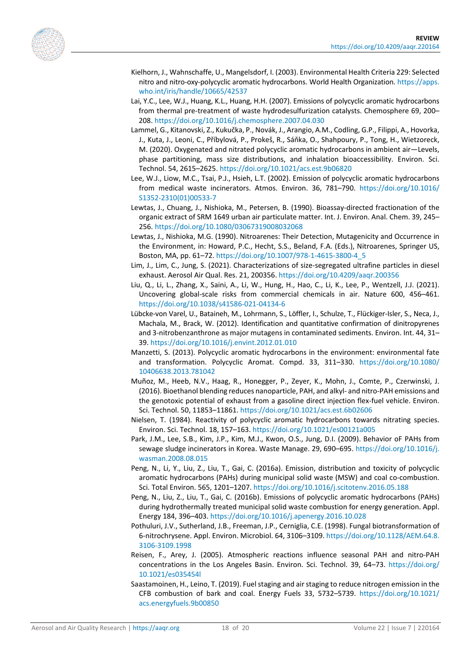<span id="page-17-18"></span><span id="page-17-14"></span><span id="page-17-13"></span><span id="page-17-9"></span>

- Kielhorn, J., Wahnschaffe, U., Mangelsdorf, I. (2003). Environmental Health Criteria 229: Selected nitro and nitro-oxy-polycyclic aromatic hydrocarbons. World Health Organization. [https://apps.](https://apps.who.int/iris/handle/10665/42537) [who.int/iris/handle/10665/42537](https://apps.who.int/iris/handle/10665/42537)
- Lai, Y.C., Lee, W.J., Huang, K.L., Huang, H.H. (2007). Emissions of polycyclic aromatic hydrocarbons from thermal pre-treatment of waste hydrodesulfurization catalysts. Chemosphere 69, 200– 208[. https://doi.org/10.1016/j.chemosphere.2007.04.030](https://doi.org/10.1016/j.chemosphere.2007.04.030)
- Lammel, G., Kitanovski, Z., Kukučka, P., Novák, J., Arangio, A.M., Codling, G.P., Filippi, A., Hovorka, J., Kuta, J., Leoni, C., Příbylová, P., Prokeš, R., Sáňka, O., Shahpoury, P., Tong, H., Wietzoreck, M. (2020). Oxygenated and nitrated polycyclic aromatic hydrocarbons in ambient air—Levels, phase partitioning, mass size distributions, and inhalation bioaccessibility. Environ. Sci. Technol. 54, 2615–2625.<https://doi.org/10.1021/acs.est.9b06820>
- <span id="page-17-3"></span>Lee, W.J., Liow, M.C., Tsai, P.J., Hsieh, L.T. (2002). Emission of polycyclic aromatic hydrocarbons from medical waste incinerators. Atmos. Environ. 36, 781–790. [https://doi.org/10.1016/](https://doi.org/10.1016/S1352-2310(01)00533-7) [S1352-2310\(01\)00533-7](https://doi.org/10.1016/S1352-2310(01)00533-7)
- <span id="page-17-1"></span>Lewtas, J., Chuang, J., Nishioka, M., Petersen, B. (1990). Bioassay-directed fractionation of the organic extract of SRM 1649 urban air particulate matter. Int. J. Environ. Anal. Chem. 39, 245– 256[. https://doi.org/10.1080/03067319008032068](https://doi.org/10.1080/03067319008032068)
- <span id="page-17-0"></span>Lewtas, J., Nishioka, M.G. (1990). Nitroarenes: Their Detection, Mutagenicity and Occurrence in the Environment, in: Howard, P.C., Hecht, S.S., Beland, F.A. (Eds.), Nitroarenes, Springer US, Boston, MA, pp. 61–72[. https://doi.org/10.1007/978-1-4615-3800-4\\_5](https://doi.org/10.1007/978-1-4615-3800-4_5)
- <span id="page-17-15"></span>Lim, J., Lim, C., Jung, S. (2021). Characterizations of size-segregated ultrafine particles in diesel exhaust. Aerosol Air Qual. Res. 21, 200356[. https://doi.org/10.4209/aaqr.200356](https://doi.org/10.4209/aaqr.200356)
- <span id="page-17-6"></span>Liu, Q., Li, L., Zhang, X., Saini, A., Li, W., Hung, H., Hao, C., Li, K., Lee, P., Wentzell, J.J. (2021). Uncovering global-scale risks from commercial chemicals in air. Nature 600, 456–461. <https://doi.org/10.1038/s41586-021-04134-6>
- <span id="page-17-16"></span>Lübcke-von Varel, U., Bataineh, M., Lohrmann, S., Löffler, I., Schulze, T., Flückiger-Isler, S., Neca, J., Machala, M., Brack, W. (2012). Identification and quantitative confirmation of dinitropyrenes and 3-nitrobenzanthrone as major mutagens in contaminated sediments. Environ. Int. 44, 31– 39[. https://doi.org/10.1016/j.envint.2012.01.010](https://doi.org/10.1016/j.envint.2012.01.010)
- <span id="page-17-7"></span>Manzetti, S. (2013). Polycyclic aromatic hydrocarbons in the environment: environmental fate and transformation. Polycyclic Aromat. Compd. 33, 311–330. [https://doi.org/10.1080/](https://doi.org/10.1080/10406638.2013.781042) [10406638.2013.781042](https://doi.org/10.1080/10406638.2013.781042)
- <span id="page-17-2"></span>Muñoz, M., Heeb, N.V., Haag, R., Honegger, P., Zeyer, K., Mohn, J., Comte, P., Czerwinski, J. (2016). Bioethanol blending reduces nanoparticle, PAH, and alkyl- and nitro-PAH emissions and the genotoxic potential of exhaust from a gasoline direct injection flex-fuel vehicle. Environ. Sci. Technol. 50, 11853–11861.<https://doi.org/10.1021/acs.est.6b02606>
- <span id="page-17-8"></span>Nielsen, T. (1984). Reactivity of polycyclic aromatic hydrocarbons towards nitrating species. Environ. Sci. Technol. 18, 157–163[. https://doi.org/10.1021/es00121a005](https://doi.org/10.1021/es00121a005)
- <span id="page-17-11"></span>Park, J.M., Lee, S.B., Kim, J.P., Kim, M.J., Kwon, O.S., Jung, D.I. (2009). Behavior oF PAHs from sewage sludge incinerators in Korea. Waste Manage. 29, 690–695[. https://doi.org/10.1016/j.](https://doi.org/10.1016/j.wasman.2008.08.015) [wasman.2008.08.015](https://doi.org/10.1016/j.wasman.2008.08.015)
- <span id="page-17-4"></span>Peng, N., Li, Y., Liu, Z., Liu, T., Gai, C. (2016a). Emission, distribution and toxicity of polycyclic aromatic hydrocarbons (PAHs) during municipal solid waste (MSW) and coal co-combustion. Sci. Total Environ. 565, 1201–1207[. https://doi.org/10.1016/j.scitotenv.2016.05.188](https://doi.org/10.1016/j.scitotenv.2016.05.188)
- <span id="page-17-12"></span>Peng, N., Liu, Z., Liu, T., Gai, C. (2016b). Emissions of polycyclic aromatic hydrocarbons (PAHs) during hydrothermally treated municipal solid waste combustion for energy generation. Appl. Energy 184, 396–403.<https://doi.org/10.1016/j.apenergy.2016.10.028>
- <span id="page-17-17"></span>Pothuluri, J.V., Sutherland, J.B., Freeman, J.P., Cerniglia, C.E. (1998). Fungal biotransformation of 6-nitrochrysene. Appl. Environ. Microbiol. 64, 3106–3109[. https://doi.org/10.1128/AEM.64.8.](https://doi.org/10.1128/AEM.64.8.3106-3109.1998) [3106-3109.1998](https://doi.org/10.1128/AEM.64.8.3106-3109.1998)
- <span id="page-17-5"></span>Reisen, F., Arey, J. (2005). Atmospheric reactions influence seasonal PAH and nitro-PAH concentrations in the Los Angeles Basin. Environ. Sci. Technol. 39, 64–73. [https://doi.org/](https://doi.org/10.1021/es035454l) [10.1021/es035454l](https://doi.org/10.1021/es035454l)
- <span id="page-17-10"></span>Saastamoinen, H., Leino, T. (2019). Fuel staging and air staging to reduce nitrogen emission in the CFB combustion of bark and coal. Energy Fuels 33, 5732–5739. [https://doi.org/10.1021/](https://doi.org/10.1021/acs.energyfuels.9b00850) [acs.energyfuels.9b00850](https://doi.org/10.1021/acs.energyfuels.9b00850)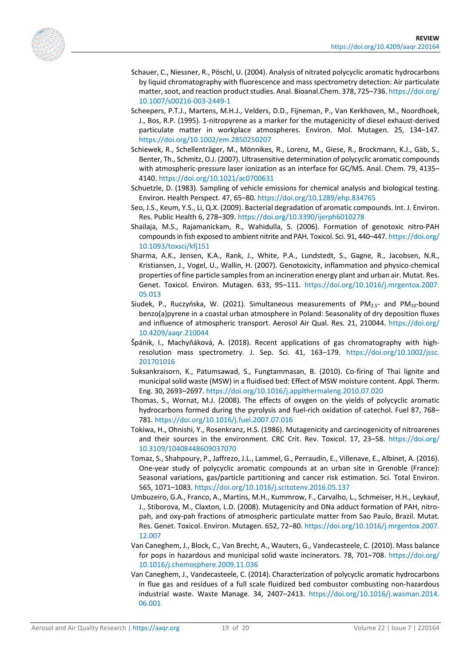<span id="page-18-15"></span><span id="page-18-11"></span><span id="page-18-8"></span>

- Schauer, C., Niessner, R., Pöschl, U. (2004). Analysis of nitrated polycyclic aromatic hydrocarbons by liquid chromatography with fluorescence and mass spectrometry detection: Air particulate matter, soot, and reaction product studies. Anal. Bioanal.Chem. 378, 725–736[. https://doi.org/](https://doi.org/10.1007/s00216-003-2449-1) [10.1007/s00216-003-2449-1](https://doi.org/10.1007/s00216-003-2449-1)
- Scheepers, P.T.J., Martens, M.H.J., Velders, D.D., Fijneman, P., Van Kerkhoven, M., Noordhoek, J., Bos, R.P. (1995). 1-nitropyrene as a marker for the mutagenicity of diesel exhaust-derived particulate matter in workplace atmospheres. Environ. Mol. Mutagen. 25, 134–147. <https://doi.org/10.1002/em.2850250207>
- <span id="page-18-13"></span>Schiewek, R., Schellenträger, M., Mönnikes, R., Lorenz, M., Giese, R., Brockmann, K.J., Gäb, S., Benter, Th., Schmitz, O.J. (2007). Ultrasensitive determination of polycyclic aromatic compounds with atmospheric-pressure laser ionization as an interface for GC/MS. Anal. Chem. 79, 4135– 4140.<https://doi.org/10.1021/ac0700631>
- <span id="page-18-1"></span>Schuetzle, D. (1983). Sampling of vehicle emissions for chemical analysis and biological testing. Environ. Health Perspect. 47, 65–80[. https://doi.org/10.1289/ehp.834765](https://doi.org/10.1289/ehp.834765)
- <span id="page-18-16"></span>Seo, J.S., Keum, Y.S., Li, Q.X. (2009). Bacterial degradation of aromatic compounds. Int. J. Environ. Res. Public Health 6, 278–309[. https://doi.org/10.3390/ijerph6010278](https://doi.org/10.3390/ijerph6010278)
- <span id="page-18-6"></span>Shailaja, M.S., Rajamanickam, R., Wahidulla, S. (2006). Formation of genotoxic nitro-PAH compounds in fish exposed to ambient nitrite and PAH. Toxicol. Sci. 91, 440–447. [https://doi.org/](https://doi.org/10.1093/toxsci/kfj151) [10.1093/toxsci/kfj151](https://doi.org/10.1093/toxsci/kfj151)
- <span id="page-18-2"></span>Sharma, A.K., Jensen, K.A., Rank, J., White, P.A., Lundstedt, S., Gagne, R., Jacobsen, N.R., Kristiansen, J., Vogel, U., Wallin, H. (2007). Genotoxicity, inflammation and physico-chemical properties of fine particle samples from an incineration energy plant and urban air. Mutat. Res. Genet. Toxicol. Environ. Mutagen. 633, 95–111. [https://doi.org/10.1016/j.mrgentox.2007.](https://doi.org/10.1016/j.mrgentox.2007.05.013) [05.013](https://doi.org/10.1016/j.mrgentox.2007.05.013)
- <span id="page-18-0"></span>Siudek, P., Ruczyńska, W. (2021). Simultaneous measurements of  $PM_{2.5}$ - and  $PM_{10}$ -bound benzo(a)pyrene in a coastal urban atmosphere in Poland: Seasonality of dry deposition fluxes and influence of atmospheric transport. Aerosol Air Qual. Res. 21, 210044. [https://doi.org/](https://doi.org/10.4209/aaqr.210044) [10.4209/aaqr.210044](https://doi.org/10.4209/aaqr.210044)
- <span id="page-18-12"></span>Špánik, I., Machyňáková, A. (2018). Recent applications of gas chromatography with highresolution mass spectrometry. J. Sep. Sci. 41, 163–179. [https://doi.org/10.1002/jssc.](https://doi.org/10.1002/jssc.201701016) [201701016](https://doi.org/10.1002/jssc.201701016)
- <span id="page-18-5"></span>Suksankraisorn, K., Patumsawad, S., Fungtammasan, B. (2010). Co-firing of Thai lignite and municipal solid waste (MSW) in a fluidised bed: Effect of MSW moisture content. Appl. Therm. Eng. 30, 2693–2697[. https://doi.org/10.1016/j.applthermaleng.2010.07.020](https://doi.org/10.1016/j.applthermaleng.2010.07.020)
- <span id="page-18-14"></span>Thomas, S., Wornat, M.J. (2008). The effects of oxygen on the yields of polycyclic aromatic hydrocarbons formed during the pyrolysis and fuel-rich oxidation of catechol. Fuel 87, 768– 781[. https://doi.org/10.1016/j.fuel.2007.07.016](https://doi.org/10.1016/j.fuel.2007.07.016)
- <span id="page-18-10"></span>Tokiwa, H., Ohnishi, Y., Rosenkranz, H.S. (1986). Mutagenicity and carcinogenicity of nitroarenes and their sources in the environment. CRC Crit. Rev. Toxicol. 17, 23–58. [https://doi.org/](https://doi.org/10.3109/10408448609037070) [10.3109/10408448609037070](https://doi.org/10.3109/10408448609037070)
- <span id="page-18-9"></span>Tomaz, S., Shahpoury, P., Jaffrezo, J.L., Lammel, G., Perraudin, E., Villenave, E., Albinet, A. (2016). One-year study of polycyclic aromatic compounds at an urban site in Grenoble (France): Seasonal variations, gas/particle partitioning and cancer risk estimation. Sci. Total Environ. 565, 1071–1083.<https://doi.org/10.1016/j.scitotenv.2016.05.137>
- <span id="page-18-7"></span>Umbuzeiro, G.A., Franco, A., Martins, M.H., Kummrow, F., Carvalho, L., Schmeiser, H.H., Leykauf, J., Stiborova, M., Claxton, L.D. (2008). Mutagenicity and DNa adduct formation of PAH, nitropah, and oxy-pah fractions of atmospheric particulate matter from Sao Paulo, Brazil. Mutat. Res. Genet. Toxicol. Environ. Mutagen. 652, 72–80. [https://doi.org/10.1016/j.mrgentox.2007.](https://doi.org/10.1016/j.mrgentox.2007.12.007) [12.007](https://doi.org/10.1016/j.mrgentox.2007.12.007)
- <span id="page-18-4"></span>Van Caneghem, J., Block, C., Van Brecht, A., Wauters, G., Vandecasteele, C. (2010). Mass balance for pops in hazardous and municipal solid waste incinerators. 78, 701–708. [https://doi.org/](https://doi.org/10.1016/j.chemosphere.2009.11.036) [10.1016/j.chemosphere.2009.11.036](https://doi.org/10.1016/j.chemosphere.2009.11.036)
- <span id="page-18-3"></span>Van Caneghem, J., Vandecasteele, C. (2014). Characterization of polycyclic aromatic hydrocarbons in flue gas and residues of a full scale fluidized bed combustor combusting non-hazardous industrial waste. Waste Manage. 34, 2407–2413. [https://doi.org/10.1016/j.wasman.2014.](https://doi.org/10.1016/j.wasman.2014.06.001) [06.001](https://doi.org/10.1016/j.wasman.2014.06.001)